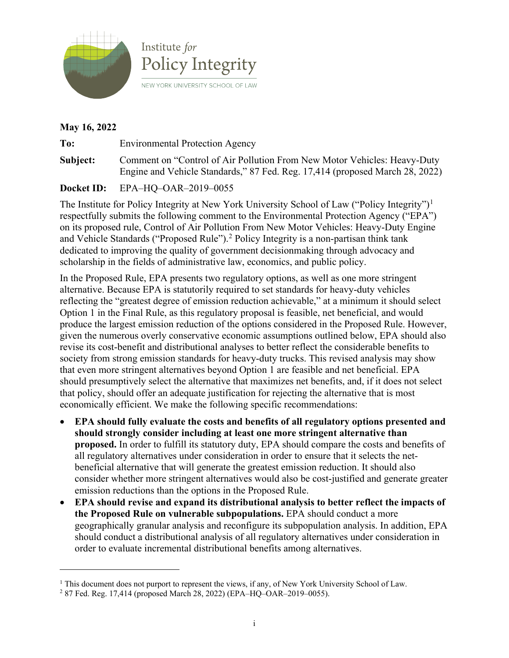



## **May 16, 2022**

**To:** Environmental Protection Agency **Subject:** Comment on "Control of Air Pollution From New Motor Vehicles: Heavy-Duty Engine and Vehicle Standards," 87 Fed. Reg. 17,414 (proposed March 28, 2022)

## **Docket ID:** EPA–HQ–OAR–2019–0055

The Institute for Policy Integrity at New York University School of Law ("Policy Integrity")<sup>[1](#page-0-0)</sup> respectfully submits the following comment to the Environmental Protection Agency ("EPA") on its proposed rule, Control of Air Pollution From New Motor Vehicles: Heavy-Duty Engine and Vehicle Standards ("Proposed Rule").<sup>[2](#page-0-1)</sup> Policy Integrity is a non-partisan think tank dedicated to improving the quality of government decisionmaking through advocacy and scholarship in the fields of administrative law, economics, and public policy.

In the Proposed Rule, EPA presents two regulatory options, as well as one more stringent alternative. Because EPA is statutorily required to set standards for heavy-duty vehicles reflecting the "greatest degree of emission reduction achievable," at a minimum it should select Option 1 in the Final Rule, as this regulatory proposal is feasible, net beneficial, and would produce the largest emission reduction of the options considered in the Proposed Rule. However, given the numerous overly conservative economic assumptions outlined below, EPA should also revise its cost-benefit and distributional analyses to better reflect the considerable benefits to society from strong emission standards for heavy-duty trucks. This revised analysis may show that even more stringent alternatives beyond Option 1 are feasible and net beneficial. EPA should presumptively select the alternative that maximizes net benefits, and, if it does not select that policy, should offer an adequate justification for rejecting the alternative that is most economically efficient. We make the following specific recommendations:

- **EPA should fully evaluate the costs and benefits of all regulatory options presented and should strongly consider including at least one more stringent alternative than proposed.** In order to fulfill its statutory duty, EPA should compare the costs and benefits of all regulatory alternatives under consideration in order to ensure that it selects the netbeneficial alternative that will generate the greatest emission reduction. It should also consider whether more stringent alternatives would also be cost-justified and generate greater emission reductions than the options in the Proposed Rule.
- **EPA should revise and expand its distributional analysis to better reflect the impacts of the Proposed Rule on vulnerable subpopulations.** EPA should conduct a more geographically granular analysis and reconfigure its subpopulation analysis. In addition, EPA should conduct a distributional analysis of all regulatory alternatives under consideration in order to evaluate incremental distributional benefits among alternatives.

<span id="page-0-0"></span><sup>&</sup>lt;sup>1</sup> This document does not purport to represent the views, if any, of New York University School of Law.

<span id="page-0-1"></span><sup>2</sup> 87 Fed. Reg. 17,414 (proposed March 28, 2022) (EPA–HQ–OAR–2019–0055).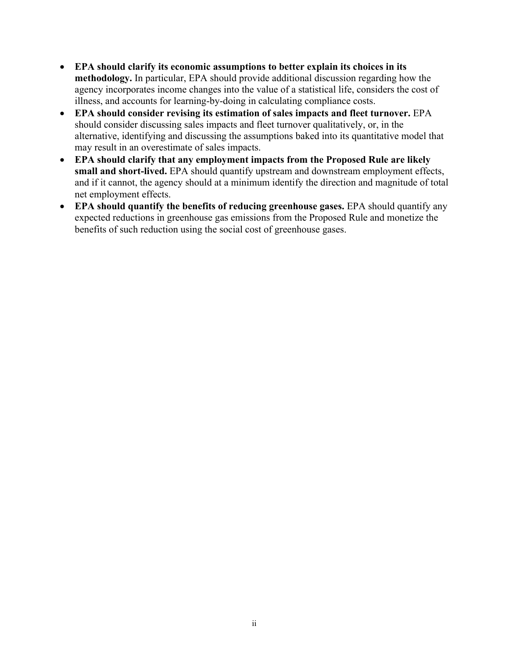- **EPA should clarify its economic assumptions to better explain its choices in its methodology.** In particular, EPA should provide additional discussion regarding how the agency incorporates income changes into the value of a statistical life, considers the cost of illness, and accounts for learning-by-doing in calculating compliance costs.
- **EPA should consider revising its estimation of sales impacts and fleet turnover.** EPA should consider discussing sales impacts and fleet turnover qualitatively, or, in the alternative, identifying and discussing the assumptions baked into its quantitative model that may result in an overestimate of sales impacts.
- **EPA should clarify that any employment impacts from the Proposed Rule are likely small and short-lived.** EPA should quantify upstream and downstream employment effects, and if it cannot, the agency should at a minimum identify the direction and magnitude of total net employment effects.
- **EPA should quantify the benefits of reducing greenhouse gases.** EPA should quantify any expected reductions in greenhouse gas emissions from the Proposed Rule and monetize the benefits of such reduction using the social cost of greenhouse gases.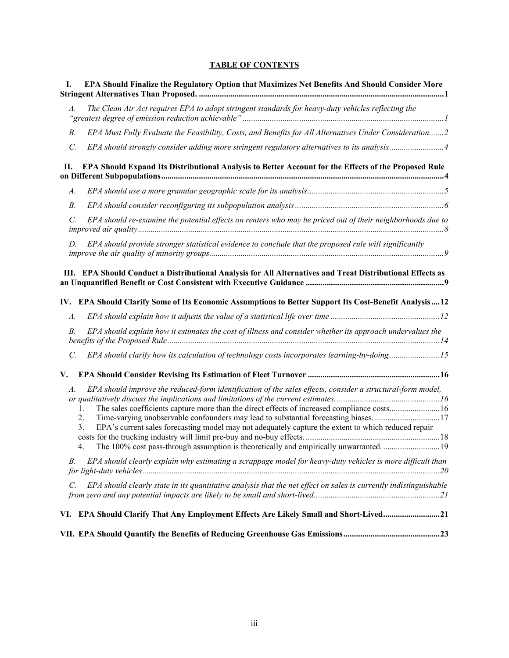#### **TABLE OF CONTENTS**

| I.              | EPA Should Finalize the Regulatory Option that Maximizes Net Benefits And Should Consider More                                                                                                                                                                                                                                                                                                                                                                                                                           |
|-----------------|--------------------------------------------------------------------------------------------------------------------------------------------------------------------------------------------------------------------------------------------------------------------------------------------------------------------------------------------------------------------------------------------------------------------------------------------------------------------------------------------------------------------------|
| A.              | The Clean Air Act requires EPA to adopt stringent standards for heavy-duty vehicles reflecting the                                                                                                                                                                                                                                                                                                                                                                                                                       |
| $B$ .           | EPA Must Fully Evaluate the Feasibility, Costs, and Benefits for All Alternatives Under Consideration2                                                                                                                                                                                                                                                                                                                                                                                                                   |
| $\mathcal{C}$ . | EPA should strongly consider adding more stringent regulatory alternatives to its analysis4                                                                                                                                                                                                                                                                                                                                                                                                                              |
| Н.              | EPA Should Expand Its Distributional Analysis to Better Account for the Effects of the Proposed Rule                                                                                                                                                                                                                                                                                                                                                                                                                     |
| A.              |                                                                                                                                                                                                                                                                                                                                                                                                                                                                                                                          |
| $B$ .           |                                                                                                                                                                                                                                                                                                                                                                                                                                                                                                                          |
| $\mathcal{C}$ . | EPA should re-examine the potential effects on renters who may be priced out of their neighborhoods due to                                                                                                                                                                                                                                                                                                                                                                                                               |
| D.              | EPA should provide stronger statistical evidence to conclude that the proposed rule will significantly                                                                                                                                                                                                                                                                                                                                                                                                                   |
|                 | III. EPA Should Conduct a Distributional Analysis for All Alternatives and Treat Distributional Effects as<br>IV. EPA Should Clarify Some of Its Economic Assumptions to Better Support Its Cost-Benefit Analysis12                                                                                                                                                                                                                                                                                                      |
| A.              |                                                                                                                                                                                                                                                                                                                                                                                                                                                                                                                          |
| $B$ .           | EPA should explain how it estimates the cost of illness and consider whether its approach undervalues the                                                                                                                                                                                                                                                                                                                                                                                                                |
| $\mathcal{C}$ . | EPA should clarify how its calculation of technology costs incorporates learning-by-doing15                                                                                                                                                                                                                                                                                                                                                                                                                              |
| V.              |                                                                                                                                                                                                                                                                                                                                                                                                                                                                                                                          |
| A.              | EPA should improve the reduced-form identification of the sales effects, consider a structural-form model,<br>The sales coefficients capture more than the direct effects of increased compliance costs16<br>1.<br>2.<br>Time-varying unobservable confounders may lead to substantial forecasting biases. 17<br>3.<br>EPA's current sales forecasting model may not adequately capture the extent to which reduced repair<br>The 100% cost pass-through assumption is theoretically and empirically unwarranted19<br>4. |
| В.              | EPA should clearly explain why estimating a scrappage model for heavy-duty vehicles is more difficult than                                                                                                                                                                                                                                                                                                                                                                                                               |
| C.              | EPA should clearly state in its quantitative analysis that the net effect on sales is currently indistinguishable                                                                                                                                                                                                                                                                                                                                                                                                        |
|                 | VI. EPA Should Clarify That Any Employment Effects Are Likely Small and Short-Lived21                                                                                                                                                                                                                                                                                                                                                                                                                                    |
|                 |                                                                                                                                                                                                                                                                                                                                                                                                                                                                                                                          |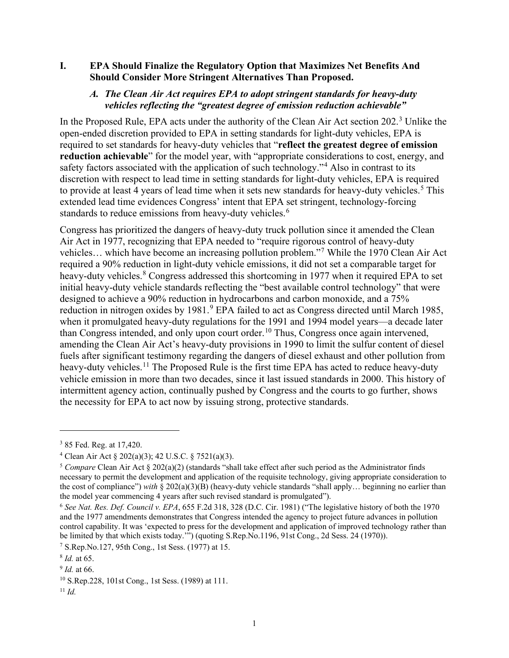#### <span id="page-3-1"></span><span id="page-3-0"></span>**I. EPA Should Finalize the Regulatory Option that Maximizes Net Benefits And Should Consider More Stringent Alternatives Than Proposed.**

#### *A. The Clean Air Act requires EPA to adopt stringent standards for heavy-duty vehicles reflecting the "greatest degree of emission reduction achievable"*

In the Proposed Rule, EPA acts under the authority of the Clean Air Act section 202.<sup>[3](#page-3-2)</sup> Unlike the open-ended discretion provided to EPA in setting standards for light-duty vehicles, EPA is required to set standards for heavy-duty vehicles that "**reflect the greatest degree of emission reduction achievable**" for the model year, with "appropriate considerations to cost, energy, and safety factors associated with the application of such technology."<sup>[4](#page-3-3)</sup> Also in contrast to its discretion with respect to lead time in setting standards for light-duty vehicles, EPA is required to provide at least 4 years of lead time when it sets new standards for heavy-duty vehicles.<sup>[5](#page-3-4)</sup> This extended lead time evidences Congress' intent that EPA set stringent, technology-forcing standards to reduce emissions from heavy-duty vehicles.<sup>[6](#page-3-5)</sup>

Congress has prioritized the dangers of heavy-duty truck pollution since it amended the Clean Air Act in 1977, recognizing that EPA needed to "require rigorous control of heavy-duty vehicles… which have become an increasing pollution problem."[7](#page-3-6) While the 1970 Clean Air Act required a 90% reduction in light-duty vehicle emissions, it did not set a comparable target for heavy-duty vehicles.<sup>[8](#page-3-7)</sup> Congress addressed this shortcoming in 1977 when it required EPA to set initial heavy-duty vehicle standards reflecting the "best available control technology" that were designed to achieve a 90% reduction in hydrocarbons and carbon monoxide, and a 75% reduction in nitrogen oxides by 1[9](#page-3-8)81.<sup>9</sup> EPA failed to act as Congress directed until March 1985, when it promulgated heavy-duty regulations for the 1991 and 1994 model years—a decade later than Congress intended, and only upon court order.[10](#page-3-9) Thus, Congress once again intervened, amending the Clean Air Act's heavy-duty provisions in 1990 to limit the sulfur content of diesel fuels after significant testimony regarding the dangers of diesel exhaust and other pollution from heavy-duty vehicles.<sup>[11](#page-3-10)</sup> The Proposed Rule is the first time EPA has acted to reduce heavy-duty vehicle emission in more than two decades, since it last issued standards in 2000. This history of intermittent agency action, continually pushed by Congress and the courts to go further, shows the necessity for EPA to act now by issuing strong, protective standards.

<span id="page-3-2"></span><sup>3</sup> 85 Fed. Reg. at 17,420.

<span id="page-3-3"></span><sup>4</sup> Clean Air Act § 202(a)(3); 42 U.S.C. § 7521(a)(3).

<span id="page-3-4"></span><sup>5</sup> *Compare* Clean Air Act § 202(a)(2) (standards "shall take effect after such period as the Administrator finds necessary to permit the development and application of the requisite technology, giving appropriate consideration to the cost of compliance") *with*  $\S 202(a)(3)(B)$  (heavy-duty vehicle standards "shall apply... beginning no earlier than the model year commencing 4 years after such revised standard is promulgated").

<span id="page-3-5"></span><sup>6</sup> *See Nat. Res. Def. Council v. EPA*, 655 F.2d 318, 328 (D.C. Cir. 1981) ("The legislative history of both the 1970 and the 1977 amendments demonstrates that Congress intended the agency to project future advances in pollution control capability. It was 'expected to press for the development and application of improved technology rather than be limited by that which exists today.'") (quoting S.Rep.No.1196, 91st Cong., 2d Sess. 24 (1970)).

<span id="page-3-6"></span><sup>7</sup> S.Rep.No.127, 95th Cong., 1st Sess. (1977) at 15.

<span id="page-3-7"></span><sup>8</sup> *Id.* at 65.

<span id="page-3-8"></span><sup>9</sup> *Id.* at 66.

<span id="page-3-9"></span><sup>10</sup> S.Rep.228, 101st Cong., 1st Sess. (1989) at 111.

<span id="page-3-10"></span><sup>11</sup> *Id.*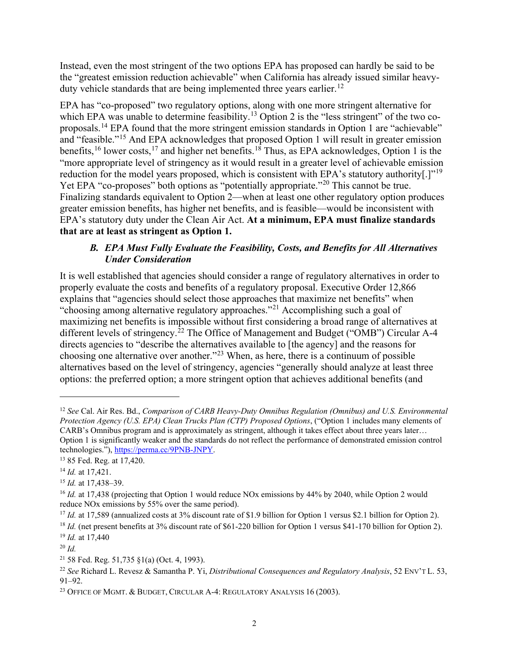Instead, even the most stringent of the two options EPA has proposed can hardly be said to be the "greatest emission reduction achievable" when California has already issued similar heavy-duty vehicle standards that are being implemented three years earlier.<sup>[12](#page-4-1)</sup>

EPA has "co-proposed" two regulatory options, along with one more stringent alternative for which EPA was unable to determine feasibility.<sup>[13](#page-4-2)</sup> Option 2 is the "less stringent" of the two coproposals.[14](#page-4-3) EPA found that the more stringent emission standards in Option 1 are "achievable" and "feasible."[15](#page-4-4) And EPA acknowledges that proposed Option 1 will result in greater emission benefits, <sup>[16](#page-4-5)</sup> lower costs, <sup>[17](#page-4-6)</sup> and higher net benefits. <sup>18</sup> Thus, as EPA acknowledges, Option 1 is the "more appropriate level of stringency as it would result in a greater level of achievable emission reduction for the model years proposed, which is consistent with EPA's statutory authority[.]"<sup>[19](#page-4-8)</sup> Yet EPA "co-proposes" both options as "potentially appropriate."<sup>[20](#page-4-9)</sup> This cannot be true. Finalizing standards equivalent to Option 2—when at least one other regulatory option produces greater emission benefits, has higher net benefits, and is feasible—would be inconsistent with EPA's statutory duty under the Clean Air Act. **At a minimum, EPA must finalize standards that are at least as stringent as Option 1.** 

## <span id="page-4-15"></span><span id="page-4-14"></span><span id="page-4-13"></span>*B. EPA Must Fully Evaluate the Feasibility, Costs, and Benefits for All Alternatives Under Consideration*

<span id="page-4-0"></span>It is well established that agencies should consider a range of regulatory alternatives in order to properly evaluate the costs and benefits of a regulatory proposal. Executive Order 12,866 explains that "agencies should select those approaches that maximize net benefits" when "choosing among alternative regulatory approaches."[21](#page-4-10) Accomplishing such a goal of maximizing net benefits is impossible without first considering a broad range of alternatives at different levels of stringency.<sup>[22](#page-4-11)</sup> The Office of Management and Budget ("OMB") Circular A-4 directs agencies to "describe the alternatives available to [the agency] and the reasons for choosing one alternative over another."[23](#page-4-12) When, as here, there is a continuum of possible alternatives based on the level of stringency, agencies "generally should analyze at least three options: the preferred option; a more stringent option that achieves additional benefits (and

<span id="page-4-1"></span><sup>12</sup> *See* Cal. Air Res. Bd., *Comparison of CARB Heavy-Duty Omnibus Regulation (Omnibus) and U.S. Environmental Protection Agency (U.S. EPA) Clean Trucks Plan (CTP) Proposed Options*, ("Option 1 includes many elements of CARB's Omnibus program and is approximately as stringent, although it takes effect about three years later… Option 1 is significantly weaker and the standards do not reflect the performance of demonstrated emission control technologies."), [https://perma.cc/9PNB-JNPY.](https://perma.cc/9PNB-JNPY) 

<span id="page-4-2"></span><sup>13</sup> 85 Fed. Reg. at 17,420.

<span id="page-4-3"></span><sup>14</sup> *Id.* at 17,421.

<span id="page-4-4"></span><sup>15</sup> *Id.* at 17,438–39.

<span id="page-4-5"></span><sup>&</sup>lt;sup>16</sup> *Id.* at 17,438 (projecting that Option 1 would reduce NOx emissions by 44% by 2040, while Option 2 would reduce NOx emissions by 55% over the same period).

<span id="page-4-6"></span><sup>&</sup>lt;sup>17</sup> *Id.* at 17,589 (annualized costs at 3% discount rate of \$1.9 billion for Option 1 versus \$2.1 billion for Option 2).

<span id="page-4-7"></span><sup>&</sup>lt;sup>18</sup> *Id.* (net present benefits at 3% discount rate of \$61-220 billion for Option 1 versus \$41-170 billion for Option 2). <sup>19</sup> *Id.* at 17.440

<span id="page-4-9"></span><span id="page-4-8"></span><sup>20</sup> *Id.*

<span id="page-4-10"></span><sup>&</sup>lt;sup>21</sup> 58 Fed. Reg. 51,735 §1(a) (Oct. 4, 1993).

<span id="page-4-11"></span><sup>22</sup> *See* Richard L. Revesz & Samantha P. Yi, *Distributional Consequences and Regulatory Analysis*, 52 ENV'T L. 53,

<span id="page-4-12"></span><sup>&</sup>lt;sup>23</sup> OFFICE OF MGMT.  $&$  BUDGET, CIRCULAR A-4: REGULATORY ANALYSIS 16 (2003).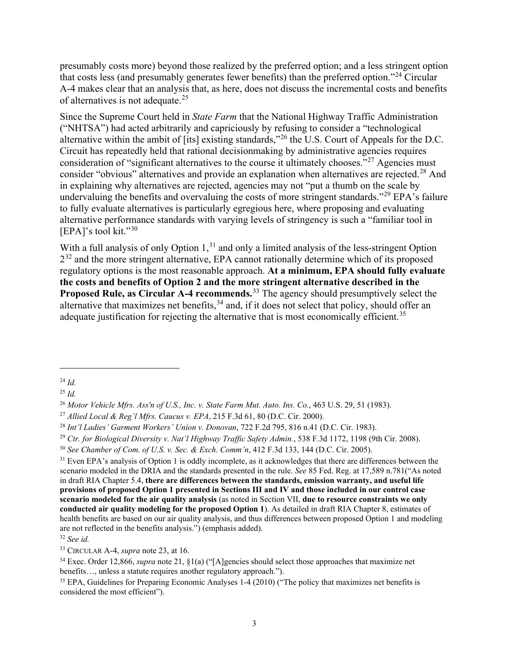presumably costs more) beyond those realized by the preferred option; and a less stringent option that costs less (and presumably generates fewer benefits) than the preferred option."[24](#page-5-0) Circular A-4 makes clear that an analysis that, as here, does not discuss the incremental costs and benefits of alternatives is not adequate.<sup>[25](#page-5-1)</sup>

Since the Supreme Court held in *State Farm* that the National Highway Traffic Administration ("NHTSA") had acted arbitrarily and capriciously by refusing to consider a "technological alternative within the ambit of [its] existing standards,"[26](#page-5-2) the U.S. Court of Appeals for the D.C. Circuit has repeatedly held that rational decisionmaking by administrative agencies requires consideration of "significant alternatives to the course it ultimately chooses."<sup>[27](#page-5-3)</sup> Agencies must consider "obvious" alternatives and provide an explanation when alternatives are rejected.<sup>[28](#page-5-4)</sup> And in explaining why alternatives are rejected, agencies may not "put a thumb on the scale by undervaluing the benefits and overvaluing the costs of more stringent standards."<sup>[29](#page-5-5)</sup> EPA's failure to fully evaluate alternatives is particularly egregious here, where proposing and evaluating alternative performance standards with varying levels of stringency is such a "familiar tool in [EPA]'s tool kit."[30](#page-5-6) 

With a full analysis of only Option 1,<sup>31</sup> and only a limited analysis of the less-stringent Option  $2^{32}$  and the more stringent alternative, EPA cannot rationally determine which of its proposed regulatory options is the most reasonable approach. **At a minimum, EPA should fully evaluate the costs and benefits of Option 2 and the more stringent alternative described in the Proposed Rule, as Circular A-4 recommends.**[33](#page-5-9) The agency should presumptively select the alternative that maximizes net benefits,  $34$  and, if it does not select that policy, should offer an adequate justification for rejecting the alternative that is most economically efficient.<sup>35</sup>

<span id="page-5-7"></span><sup>31</sup> Even EPA's analysis of Option 1 is oddly incomplete, as it acknowledges that there are differences between the scenario modeled in the DRIA and the standards presented in the rule. *See* 85 Fed. Reg. at 17,589 n.781("As noted in draft RIA Chapter 5.4, **there are differences between the standards, emission warranty, and useful life provisions of proposed Option 1 presented in Sections III and IV and those included in our control case scenario modeled for the air quality analysis** (as noted in Section VII, **due to resource constraints we only conducted air quality modeling for the proposed Option 1**). As detailed in draft RIA Chapter 8, estimates of health benefits are based on our air quality analysis, and thus differences between proposed Option 1 and modeling are not reflected in the benefits analysis.") (emphasis added).

<span id="page-5-8"></span><sup>32</sup> *See id.*

<span id="page-5-9"></span>33 CIRCULAR A-4, *supra* note [23,](#page-4-13) at 16.

<span id="page-5-12"></span><span id="page-5-0"></span><sup>24</sup> *Id.*

<span id="page-5-1"></span><sup>25</sup> *Id.*

<span id="page-5-2"></span><sup>26</sup> *Motor Vehicle Mfrs. Ass'n of U.S., Inc. v. State Farm Mut. Auto. Ins. Co.*, 463 U.S. 29, 51 (1983).

<span id="page-5-3"></span><sup>27</sup> *Allied Local & Reg'l Mfrs. Caucus v. EPA*, 215 F.3d 61, 80 (D.C. Cir. 2000).

<span id="page-5-4"></span><sup>28</sup> *Int'l Ladies' Garment Workers' Union v. Donovan*, 722 F.2d 795, 816 n.41 (D.C. Cir. 1983).

<span id="page-5-5"></span><sup>&</sup>lt;sup>29</sup> *Ctr. for Biological Diversity v. Nat'l Highway Traffic Safety Admin.*, 538 F.3d 1172, 1198 (9th Cir. 2008).<br><sup>30</sup> *See Chamber of Com. of U.S. v. Sec. & Exch. Comm'n*, 412 F.3d 133, 144 (D.C. Cir. 2005).

<span id="page-5-6"></span>

<span id="page-5-10"></span><sup>34</sup> Exec. Order 12,866, *supra* note [21,](#page-4-14) §1(a) ("[A]gencies should select those approaches that maximize net benefits…, unless a statute requires another regulatory approach.").

<span id="page-5-11"></span><sup>&</sup>lt;sup>35</sup> EPA, Guidelines for Preparing Economic Analyses 1-4 (2010) ("The policy that maximizes net benefits is considered the most efficient").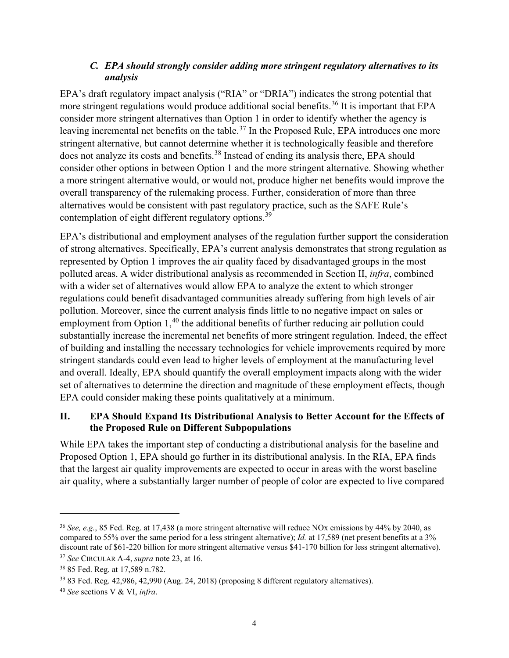## *C. EPA should strongly consider adding more stringent regulatory alternatives to its analysis*

<span id="page-6-0"></span>EPA's draft regulatory impact analysis ("RIA" or "DRIA") indicates the strong potential that more stringent regulations would produce additional social benefits.<sup>[36](#page-6-2)</sup> It is important that EPA consider more stringent alternatives than Option 1 in order to identify whether the agency is leaving incremental net benefits on the table.<sup>[37](#page-6-3)</sup> In the Proposed Rule, EPA introduces one more stringent alternative, but cannot determine whether it is technologically feasible and therefore does not analyze its costs and benefits.<sup>[38](#page-6-4)</sup> Instead of ending its analysis there, EPA should consider other options in between Option 1 and the more stringent alternative. Showing whether a more stringent alternative would, or would not, produce higher net benefits would improve the overall transparency of the rulemaking process. Further, consideration of more than three alternatives would be consistent with past regulatory practice, such as the SAFE Rule's contemplation of eight different regulatory options.<sup>[39](#page-6-5)</sup>

EPA's distributional and employment analyses of the regulation further support the consideration of strong alternatives. Specifically, EPA's current analysis demonstrates that strong regulation as represented by Option 1 improves the air quality faced by disadvantaged groups in the most polluted areas. A wider distributional analysis as recommended in Section II, *infra*, combined with a wider set of alternatives would allow EPA to analyze the extent to which stronger regulations could benefit disadvantaged communities already suffering from high levels of air pollution. Moreover, since the current analysis finds little to no negative impact on sales or employment from Option 1,<sup>[40](#page-6-6)</sup> the additional benefits of further reducing air pollution could substantially increase the incremental net benefits of more stringent regulation. Indeed, the effect of building and installing the necessary technologies for vehicle improvements required by more stringent standards could even lead to higher levels of employment at the manufacturing level and overall. Ideally, EPA should quantify the overall employment impacts along with the wider set of alternatives to determine the direction and magnitude of these employment effects, though EPA could consider making these points qualitatively at a minimum.

## <span id="page-6-1"></span>**II. EPA Should Expand Its Distributional Analysis to Better Account for the Effects of the Proposed Rule on Different Subpopulations**

While EPA takes the important step of conducting a distributional analysis for the baseline and Proposed Option 1, EPA should go further in its distributional analysis. In the RIA, EPA finds that the largest air quality improvements are expected to occur in areas with the worst baseline air quality, where a substantially larger number of people of color are expected to live compared

<span id="page-6-2"></span><sup>36</sup> *See, e.g.*, 85 Fed. Reg. at 17,438 (a more stringent alternative will reduce NOx emissions by 44% by 2040, as compared to 55% over the same period for a less stringent alternative); *Id.* at 17,589 (net present benefits at a 3% discount rate of \$61-220 billion for more stringent alternative versus \$41-170 billion for less stringent alternative).

<span id="page-6-3"></span><sup>37</sup> *See* CIRCULAR A-4, *supra* not[e 23,](#page-4-13) at 16.

<span id="page-6-4"></span><sup>38</sup> 85 Fed. Reg. at 17,589 n.782.

<span id="page-6-5"></span><sup>39</sup> 83 Fed. Reg. 42,986, 42,990 (Aug. 24, 2018) (proposing 8 different regulatory alternatives).

<span id="page-6-6"></span><sup>40</sup> *See* sections V & VI, *infra*.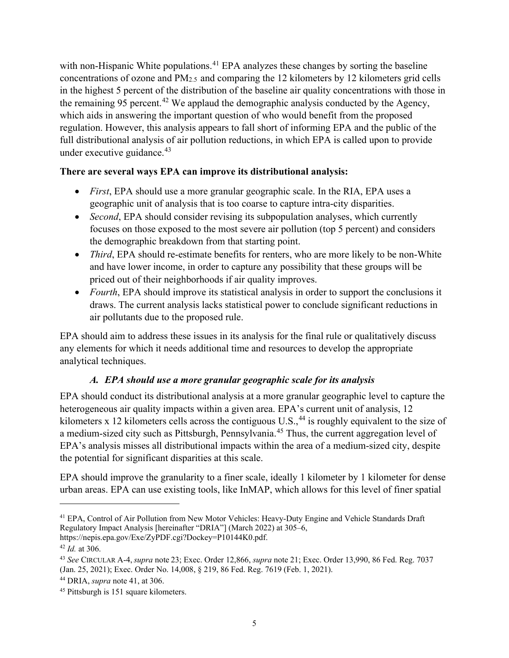<span id="page-7-1"></span>with non-Hispanic White populations.<sup>[41](#page-7-2)</sup> EPA analyzes these changes by sorting the baseline concentrations of ozone and PM2.5 and comparing the 12 kilometers by 12 kilometers grid cells in the highest 5 percent of the distribution of the baseline air quality concentrations with those in the remaining 95 percent.<sup>[42](#page-7-3)</sup> We applaud the demographic analysis conducted by the Agency, which aids in answering the important question of who would benefit from the proposed regulation. However, this analysis appears to fall short of informing EPA and the public of the full distributional analysis of air pollution reductions, in which EPA is called upon to provide under executive guidance.<sup>[43](#page-7-4)</sup>

## **There are several ways EPA can improve its distributional analysis:**

- <span id="page-7-7"></span>• *First*, EPA should use a more granular geographic scale. In the RIA, EPA uses a geographic unit of analysis that is too coarse to capture intra-city disparities.
- *Second*, EPA should consider revising its subpopulation analyses, which currently focuses on those exposed to the most severe air pollution (top 5 percent) and considers the demographic breakdown from that starting point.
- *Third*, EPA should re-estimate benefits for renters, who are more likely to be non-White and have lower income, in order to capture any possibility that these groups will be priced out of their neighborhoods if air quality improves.
- *Fourth*, EPA should improve its statistical analysis in order to support the conclusions it draws. The current analysis lacks statistical power to conclude significant reductions in air pollutants due to the proposed rule.

EPA should aim to address these issues in its analysis for the final rule or qualitatively discuss any elements for which it needs additional time and resources to develop the appropriate analytical techniques.

## *A. EPA should use a more granular geographic scale for its analysis*

<span id="page-7-0"></span>EPA should conduct its distributional analysis at a more granular geographic level to capture the heterogeneous air quality impacts within a given area. EPA's current unit of analysis, 12 kilometers x 12 kilometers cells across the contiguous  $U.S.,<sup>44</sup>$  is roughly equivalent to the size of a medium-sized city such as Pittsburgh, Pennsylvania.<sup>[45](#page-7-6)</sup> Thus, the current aggregation level of EPA's analysis misses all distributional impacts within the area of a medium-sized city, despite the potential for significant disparities at this scale.

EPA should improve the granularity to a finer scale, ideally 1 kilometer by 1 kilometer for dense urban areas. EPA can use existing tools, like InMAP, which allows for this level of finer spatial

<span id="page-7-2"></span><sup>41</sup> EPA, Control of Air Pollution from New Motor Vehicles: Heavy-Duty Engine and Vehicle Standards Draft Regulatory Impact Analysis [hereinafter "DRIA"] (March 2022) at 305–6,

https://nepis.epa.gov/Exe/ZyPDF.cgi?Dockey=P10144K0.pdf.

<span id="page-7-3"></span><sup>42</sup> *Id.* at 306.

<span id="page-7-4"></span><sup>43</sup> *See* CIRCULAR A-4, *supra* note [23;](#page-4-13) Exec. Order 12,866, *supra* note [21;](#page-4-14) Exec. Order 13,990, 86 Fed. Reg. 7037 (Jan. 25, 2021); Exec. Order No. 14,008, § 219, 86 Fed. Reg. 7619 (Feb. 1, 2021).

<span id="page-7-5"></span><sup>44</sup> DRIA, *supra* not[e 41,](#page-7-1) at 306.

<span id="page-7-6"></span><sup>45</sup> Pittsburgh is 151 square kilometers.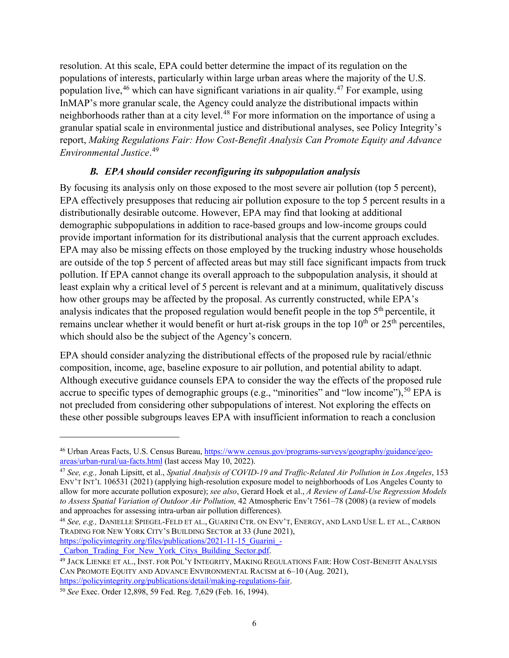resolution. At this scale, EPA could better determine the impact of its regulation on the populations of interests, particularly within large urban areas where the majority of the U.S. population live,  $46$  which can have significant variations in air quality.  $47$  For example, using InMAP's more granular scale, the Agency could analyze the distributional impacts within neighborhoods rather than at a city level.<sup>[48](#page-8-3)</sup> For more information on the importance of using a granular spatial scale in environmental justice and distributional analyses, see Policy Integrity's report, *Making Regulations Fair: How Cost-Benefit Analysis Can Promote Equity and Advance Environmental Justice*. [49](#page-8-4)

## <span id="page-8-6"></span>*B. EPA should consider reconfiguring its subpopulation analysis*

<span id="page-8-0"></span>By focusing its analysis only on those exposed to the most severe air pollution (top 5 percent), EPA effectively presupposes that reducing air pollution exposure to the top 5 percent results in a distributionally desirable outcome. However, EPA may find that looking at additional demographic subpopulations in addition to race-based groups and low-income groups could provide important information for its distributional analysis that the current approach excludes. EPA may also be missing effects on those employed by the trucking industry whose households are outside of the top 5 percent of affected areas but may still face significant impacts from truck pollution. If EPA cannot change its overall approach to the subpopulation analysis, it should at least explain why a critical level of 5 percent is relevant and at a minimum, qualitatively discuss how other groups may be affected by the proposal. As currently constructed, while EPA's analysis indicates that the proposed regulation would benefit people in the top  $5<sup>th</sup>$  percentile, it remains unclear whether it would benefit or hurt at-risk groups in the top  $10<sup>th</sup>$  or  $25<sup>th</sup>$  percentiles, which should also be the subject of the Agency's concern.

<span id="page-8-7"></span>EPA should consider analyzing the distributional effects of the proposed rule by racial/ethnic composition, income, age, baseline exposure to air pollution, and potential ability to adapt. Although executive guidance counsels EPA to consider the way the effects of the proposed rule accrue to specific types of demographic groups (e.g., "minorities" and "low income"),  $50$  EPA is not precluded from considering other subpopulations of interest. Not exploring the effects on these other possible subgroups leaves EPA with insufficient information to reach a conclusion

[https://policyintegrity.org/files/publications/2021-11-15\\_Guarini\\_-](https://policyintegrity.org/files/publications/2021-11-15_Guarini_-_Carbon_Trading_For_New_York_Citys_Building_Sector.pdf)<br>Carbon Trading For New York Citys Building Sector.pdf.

<span id="page-8-1"></span><sup>46</sup> Urban Areas Facts, U.S. Census Bureau, [https://www.census.gov/programs-surveys/geography/guidance/geo](https://www.census.gov/programs-surveys/geography/guidance/geo-areas/urban-rural/ua-facts.html)[areas/urban-rural/ua-facts.html](https://www.census.gov/programs-surveys/geography/guidance/geo-areas/urban-rural/ua-facts.html) (last access May 10, 2022).

<span id="page-8-2"></span><sup>47</sup> *See, e.g.,* Jonah Lipsitt, et al., *Spatial Analysis of COVID-19 and Traffic-Related Air Pollution in Los Angeles*, 153 ENV'T INT'L 106531 (2021) (applying high-resolution exposure model to neighborhoods of Los Angeles County to allow for more accurate pollution exposure); *see also*, Gerard Hoek et al., *A Review of Land-Use Regression Models to Assess Spatial Variation of Outdoor Air Pollution,* 42 Atmospheric Env't 7561–78 (2008) (a review of models and approaches for assessing intra-urban air pollution differences).<br><sup>48</sup> *See, e.g.*, DANIELLE SPIEGEL-FELD ET AL., GUARINI CTR. ON ENV'T, ENERGY, AND LAND USE L. ET AL., CARBON

<span id="page-8-3"></span>TRADING FOR NEW YORK CITY'S BUILDING SECTOR at 33 (June 2021),

<span id="page-8-4"></span><sup>&</sup>lt;sup>49</sup> JACK LIENKE ET AL., INST. FOR POL'Y INTEGRITY, MAKING REGULATIONS FAIR: HOW COST-BENEFIT ANALYSIS CAN PROMOTE EQUITY AND ADVANCE ENVIRONMENTAL RACISM at 6–10 (Aug. 2021), https://policyintegrity.org/publications/detail/making-regulations-fair.

<span id="page-8-5"></span><sup>&</sup>lt;sup>50</sup> See Exec. Order 12,898, 59 Fed. Reg. 7,629 (Feb. 16, 1994).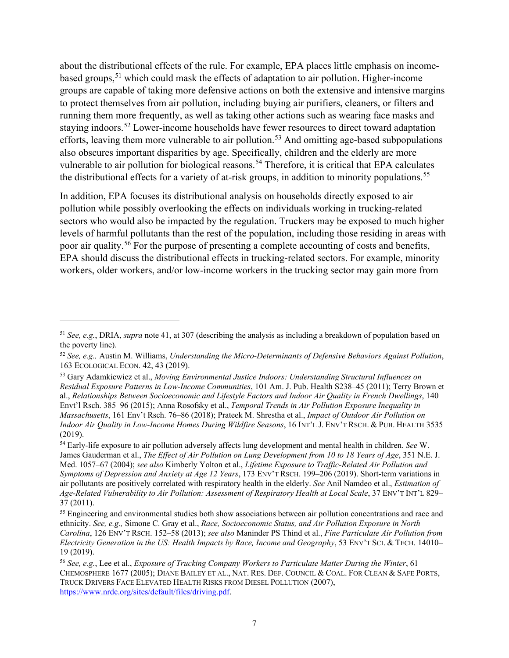about the distributional effects of the rule. For example, EPA places little emphasis on incomebased groups,<sup>51</sup> which could mask the effects of adaptation to air pollution. Higher-income groups are capable of taking more defensive actions on both the extensive and intensive margins to protect themselves from air pollution, including buying air purifiers, cleaners, or filters and running them more frequently, as well as taking other actions such as wearing face masks and staying indoors.<sup>[52](#page-9-1)</sup> Lower-income households have fewer resources to direct toward adaptation efforts, leaving them more vulnerable to air pollution.<sup>53</sup> And omitting age-based subpopulations also obscures important disparities by age. Specifically, children and the elderly are more vulnerable to air pollution for biological reasons.<sup>[54](#page-9-3)</sup> Therefore, it is critical that EPA calculates the distributional effects for a variety of at-risk groups, in addition to minority populations.<sup>[55](#page-9-4)</sup>

In addition, EPA focuses its distributional analysis on households directly exposed to air pollution while possibly overlooking the effects on individuals working in trucking-related sectors who would also be impacted by the regulation. Truckers may be exposed to much higher levels of harmful pollutants than the rest of the population, including those residing in areas with poor air quality.[56](#page-9-5) For the purpose of presenting a complete accounting of costs and benefits, EPA should discuss the distributional effects in trucking-related sectors. For example, minority workers, older workers, and/or low-income workers in the trucking sector may gain more from

<span id="page-9-0"></span><sup>51</sup> *See, e.g.*, DRIA, *supra* note [41,](#page-7-1) at 307 (describing the analysis as including a breakdown of population based on the poverty line).

<span id="page-9-1"></span><sup>52</sup> *See, e.g.,* Austin M. Williams, *Understanding the Micro-Determinants of Defensive Behaviors Against Pollution*,

<span id="page-9-2"></span><sup>&</sup>lt;sup>53</sup> Gary Adamkiewicz et al., *Moving Environmental Justice Indoors: Understanding Structural Influences on Residual Exposure Patterns in Low-Income Communities*, 101 Am. J. Pub. Health S238–45 (2011); Terry Brown et al., *Relationships Between Socioeconomic and Lifestyle Factors and Indoor Air Quality in French Dwellings*, 140 Envt'l Rsch. 385–96 (2015); Anna Rosofsky et al., *Temporal Trends in Air Pollution Exposure Inequality in Massachusetts*, 161 Env't Rsch. 76–86 (2018); Prateek M. Shrestha et al., *Impact of Outdoor Air Pollution on Indoor Air Quality in Low-Income Homes During Wildfire Seasons*, 16 INT'L J. ENV'T RSCH. & PUB. HEALTH 3535 (2019).

<span id="page-9-3"></span><sup>54</sup> Early-life exposure to air pollution adversely affects lung development and mental health in children. *See* W. James Gauderman et al., *The Effect of Air Pollution on Lung Development from 10 to 18 Years of Age*, 351 N.E. J. Med. 1057–67 (2004); *see also* Kimberly Yolton et al., *Lifetime Exposure to Traffic-Related Air Pollution and Symptoms of Depression and Anxiety at Age 12 Years*, 173 ENV'T RSCH. 199–206 (2019). Short-term variations in air pollutants are positively correlated with respiratory health in the elderly. *See* Anil Namdeo et al., *Estimation of Age-Related Vulnerability to Air Pollution: Assessment of Respiratory Health at Local Scale*, 37 ENV'T INT'L 829– 37 (2011).

<span id="page-9-4"></span><sup>&</sup>lt;sup>55</sup> Engineering and environmental studies both show associations between air pollution concentrations and race and ethnicity. *See, e.g.,* Simone C. Gray et al., *Race, Socioeconomic Status, and Air Pollution Exposure in North Carolina*, 126 ENV'T RSCH. 152–58 (2013); *see also* Maninder PS Thind et al., *Fine Particulate Air Pollution from Electricity Generation in the US: Health Impacts by Race, Income and Geography*, 53 ENV'T SCI. & TECH. 14010– 19 (2019).

<span id="page-9-5"></span><sup>56</sup> *See, e.g.*, Lee et al., *Exposure of Trucking Company Workers to Particulate Matter During the Winter*, 61 CHEMOSPHERE 1677 (2005); DIANE BAILEY ET AL., NAT. RES. DEF. COUNCIL & COAL. FOR CLEAN & SAFE PORTS, TRUCK DRIVERS FACE ELEVATED HEALTH RISKS FROM DIESEL POLLUTION (2007), [https://www.nrdc.org/sites/default/files/driving.pdf.](https://www.nrdc.org/sites/default/files/driving.pdf)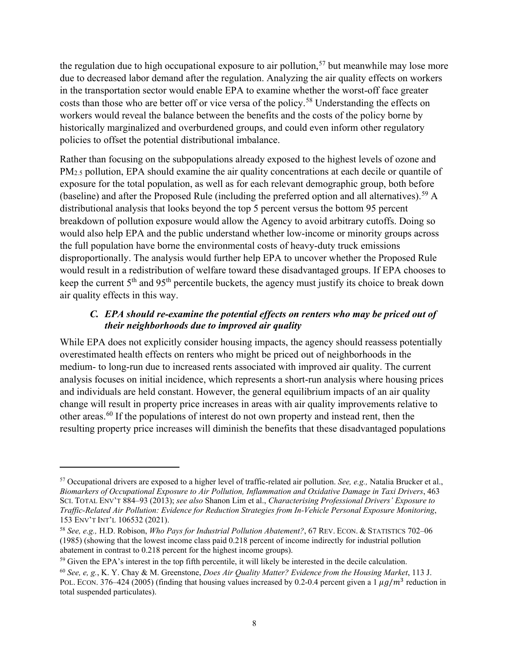the regulation due to high occupational exposure to air pollution,  $57$  but meanwhile may lose more due to decreased labor demand after the regulation. Analyzing the air quality effects on workers in the transportation sector would enable EPA to examine whether the worst-off face greater costs than those who are better off or vice versa of the policy.<sup>[58](#page-10-2)</sup> Understanding the effects on workers would reveal the balance between the benefits and the costs of the policy borne by historically marginalized and overburdened groups, and could even inform other regulatory policies to offset the potential distributional imbalance.

Rather than focusing on the subpopulations already exposed to the highest levels of ozone and PM2.5 pollution, EPA should examine the air quality concentrations at each decile or quantile of exposure for the total population, as well as for each relevant demographic group, both before (baseline) and after the Proposed Rule (including the preferred option and all alternatives).<sup>[59](#page-10-3)</sup> A distributional analysis that looks beyond the top 5 percent versus the bottom 95 percent breakdown of pollution exposure would allow the Agency to avoid arbitrary cutoffs. Doing so would also help EPA and the public understand whether low-income or minority groups across the full population have borne the environmental costs of heavy-duty truck emissions disproportionally. The analysis would further help EPA to uncover whether the Proposed Rule would result in a redistribution of welfare toward these disadvantaged groups. If EPA chooses to keep the current 5<sup>th</sup> and 95<sup>th</sup> percentile buckets, the agency must justify its choice to break down air quality effects in this way.

#### *C. EPA should re-examine the potential effects on renters who may be priced out of their neighborhoods due to improved air quality*

<span id="page-10-0"></span>While EPA does not explicitly consider housing impacts, the agency should reassess potentially overestimated health effects on renters who might be priced out of neighborhoods in the medium- to long-run due to increased rents associated with improved air quality. The current analysis focuses on initial incidence, which represents a short-run analysis where housing prices and individuals are held constant. However, the general equilibrium impacts of an air quality change will result in property price increases in areas with air quality improvements relative to other areas.[60](#page-10-4) If the populations of interest do not own property and instead rent, then the resulting property price increases will diminish the benefits that these disadvantaged populations

<span id="page-10-1"></span><sup>57</sup> Occupational drivers are exposed to a higher level of traffic-related air pollution. *See, e.g.,* Natalia Brucker et al., *Biomarkers of Occupational Exposure to Air Pollution, Inflammation and Oxidative Damage in Taxi Drivers*, 463 SCI. TOTAL ENV'T 884–93 (2013); *see also* Shanon Lim et al., *Characterising Professional Drivers' Exposure to Traffic-Related Air Pollution: Evidence for Reduction Strategies from In-Vehicle Personal Exposure Monitoring*, 153 ENV'T INT'L 106532 (2021).

<span id="page-10-2"></span><sup>58</sup> *See, e.g.,* H.D. Robison, *Who Pays for Industrial Pollution Abatement?*, 67 REV. ECON. & STATISTICS 702–06 (1985) (showing that the lowest income class paid 0.218 percent of income indirectly for industrial pollution

<span id="page-10-3"></span> $59$  Given the EPA's interest in the top fifth percentile, it will likely be interested in the decile calculation.

<span id="page-10-4"></span><sup>60</sup> *See, e, g.*, K. Y. Chay & M. Greenstone, *Does Air Quality Matter? Evidence from the Housing Market*, 113 J. POL. ECON. 376–424 (2005) (finding that housing values increased by 0.2-0.4 percent given a 1  $\mu$ g/m<sup>3</sup> reduction in total suspended particulates).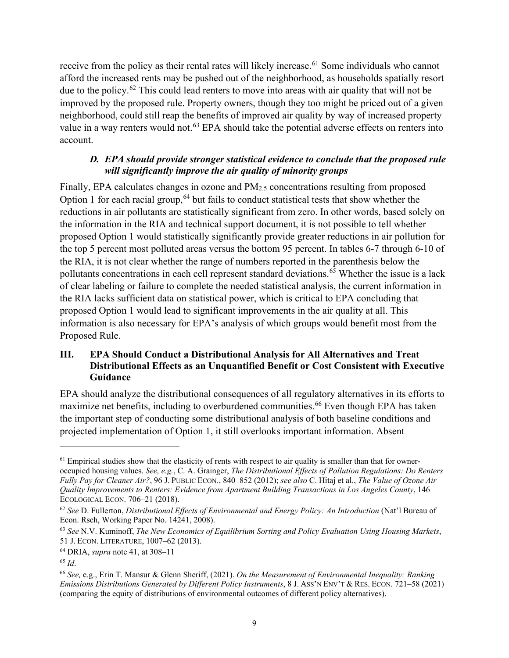receive from the policy as their rental rates will likely increase.<sup>[61](#page-11-2)</sup> Some individuals who cannot afford the increased rents may be pushed out of the neighborhood, as households spatially resort due to the policy.<sup>[62](#page-11-3)</sup> This could lead renters to move into areas with air quality that will not be improved by the proposed rule. Property owners, though they too might be priced out of a given neighborhood, could still reap the benefits of improved air quality by way of increased property value in a way renters would not.<sup>[63](#page-11-4)</sup> EPA should take the potential adverse effects on renters into account.

#### *D. EPA should provide stronger statistical evidence to conclude that the proposed rule will significantly improve the air quality of minority groups*

<span id="page-11-0"></span>Finally, EPA calculates changes in ozone and PM2.5 concentrations resulting from proposed Option 1 for each racial group,  $64$  but fails to conduct statistical tests that show whether the reductions in air pollutants are statistically significant from zero. In other words, based solely on the information in the RIA and technical support document, it is not possible to tell whether proposed Option 1 would statistically significantly provide greater reductions in air pollution for the top 5 percent most polluted areas versus the bottom 95 percent. In tables 6-7 through 6-10 of the RIA, it is not clear whether the range of numbers reported in the parenthesis below the pollutants concentrations in each cell represent standard deviations.<sup>[65](#page-11-6)</sup> Whether the issue is a lack of clear labeling or failure to complete the needed statistical analysis, the current information in the RIA lacks sufficient data on statistical power, which is critical to EPA concluding that proposed Option 1 would lead to significant improvements in the air quality at all. This information is also necessary for EPA's analysis of which groups would benefit most from the Proposed Rule.

## <span id="page-11-1"></span>**III. EPA Should Conduct a Distributional Analysis for All Alternatives and Treat Distributional Effects as an Unquantified Benefit or Cost Consistent with Executive Guidance**

EPA should analyze the distributional consequences of all regulatory alternatives in its efforts to maximize net benefits, including to overburdened communities.<sup>[66](#page-11-7)</sup> Even though EPA has taken the important step of conducting some distributional analysis of both baseline conditions and projected implementation of Option 1, it still overlooks important information. Absent

<span id="page-11-2"></span> $<sup>61</sup>$  Empirical studies show that the elasticity of rents with respect to air quality is smaller than that for owner-</sup> occupied housing values. *See, e.g.*, C. A. Grainger, *The Distributional Effects of Pollution Regulations: Do Renters Fully Pay for Cleaner Air?*, 96 J. PUBLIC ECON., 840–852 (2012); *see also* C. Hitaj et al., *The Value of Ozone Air Quality Improvements to Renters: Evidence from Apartment Building Transactions in Los Angeles County*, 146 ECOLOGICAL ECON. 706–21 (2018).<br><sup>62</sup> *See* D. Fullerton, *Distributional Effects of Environmental and Energy Policy: An Introduction* (Nat'l Bureau of

<span id="page-11-3"></span>Econ. Rsch, Working Paper No. 14241, 2008).<br><sup>63</sup> *See* N.V. Kuminoff, *The New Economics of Equilibrium Sorting and Policy Evaluation Using Housing Markets*,

<span id="page-11-4"></span><sup>51</sup> J. ECON. LITERATURE, 1007–62 (2013).

<span id="page-11-5"></span><sup>64</sup> DRIA, *supra* not[e 41,](#page-7-1) at 308–11

<span id="page-11-6"></span><sup>65</sup> *Id*.

<span id="page-11-7"></span><sup>66</sup> *See,* e.g., Erin T. Mansur & Glenn Sheriff, (2021). *On the Measurement of Environmental Inequality: Ranking Emissions Distributions Generated by Different Policy Instruments*, 8 J. Ass'N ENV'T & RES. ECON. 721–58 (2021) (comparing the equity of distributions of environmental outcomes of different policy alternatives).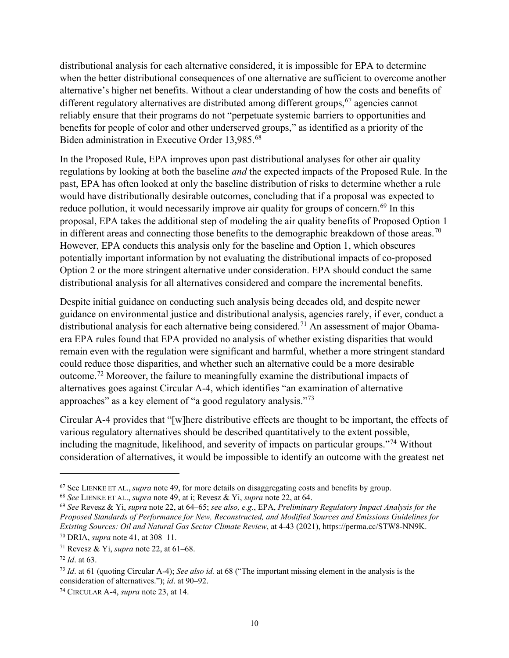distributional analysis for each alternative considered, it is impossible for EPA to determine when the better distributional consequences of one alternative are sufficient to overcome another alternative's higher net benefits. Without a clear understanding of how the costs and benefits of different regulatory alternatives are distributed among different groups,  $67$  agencies cannot reliably ensure that their programs do not "perpetuate systemic barriers to opportunities and benefits for people of color and other underserved groups," as identified as a priority of the Biden administration in Executive Order 13,985.[68](#page-12-1) 

In the Proposed Rule, EPA improves upon past distributional analyses for other air quality regulations by looking at both the baseline *and* the expected impacts of the Proposed Rule. In the past, EPA has often looked at only the baseline distribution of risks to determine whether a rule would have distributionally desirable outcomes, concluding that if a proposal was expected to reduce pollution, it would necessarily improve air quality for groups of concern.<sup>[69](#page-12-2)</sup> In this proposal, EPA takes the additional step of modeling the air quality benefits of Proposed Option 1 in different areas and connecting those benefits to the demographic breakdown of those areas.<sup>[70](#page-12-3)</sup> However, EPA conducts this analysis only for the baseline and Option 1, which obscures potentially important information by not evaluating the distributional impacts of co-proposed Option 2 or the more stringent alternative under consideration. EPA should conduct the same distributional analysis for all alternatives considered and compare the incremental benefits.

Despite initial guidance on conducting such analysis being decades old, and despite newer guidance on environmental justice and distributional analysis, agencies rarely, if ever, conduct a distributional analysis for each alternative being considered.<sup>[71](#page-12-4)</sup> An assessment of major Obamaera EPA rules found that EPA provided no analysis of whether existing disparities that would remain even with the regulation were significant and harmful, whether a more stringent standard could reduce those disparities, and whether such an alternative could be a more desirable outcome.[72](#page-12-5) Moreover, the failure to meaningfully examine the distributional impacts of alternatives goes against Circular A-4, which identifies "an examination of alternative approaches" as a key element of "a good regulatory analysis."<sup>[73](#page-12-6)</sup>

Circular A-4 provides that "[w]here distributive effects are thought to be important, the effects of various regulatory alternatives should be described quantitatively to the extent possible, including the magnitude, likelihood, and severity of impacts on particular groups."[74](#page-12-7) Without consideration of alternatives, it would be impossible to identify an outcome with the greatest net

<span id="page-12-0"></span><sup>67</sup> See LIENKE ET AL., *supra* note [49,](#page-8-6) for more details on disaggregating costs and benefits by group. 68 *See* LIENKE ET AL., *supra* note [49,](#page-8-6) at i; Revesz & Yi, *supra* note [22,](#page-4-15) at 64.

<span id="page-12-1"></span>

<span id="page-12-2"></span><sup>69</sup> *See* Revesz & Yi, *supra* note [22,](#page-4-15) at 64–65; *see also, e.g.*, EPA, *Preliminary Regulatory Impact Analysis for the Proposed Standards of Performance for New, Reconstructed, and Modified Sources and Emissions Guidelines for Existing Sources: Oil and Natural Gas Sector Climate Review*, at 4-43 (2021), https://perma.cc/STW8-NN9K. 70 DRIA, *supra* not[e 41,](#page-7-1) at 308–11.

<span id="page-12-4"></span><span id="page-12-3"></span><sup>71</sup> Revesz & Yi, *supra* note [22,](#page-4-15) at 61–68.

<span id="page-12-5"></span><sup>72</sup> *Id*. at 63.

<span id="page-12-6"></span><sup>73</sup> *Id*. at 61 (quoting Circular A-4); *See also id.* at 68 ("The important missing element in the analysis is the consideration of alternatives."); *id*. at 90–92.

<span id="page-12-7"></span><sup>74</sup> CIRCULAR A-4, *supra* note [23,](#page-4-13) at 14.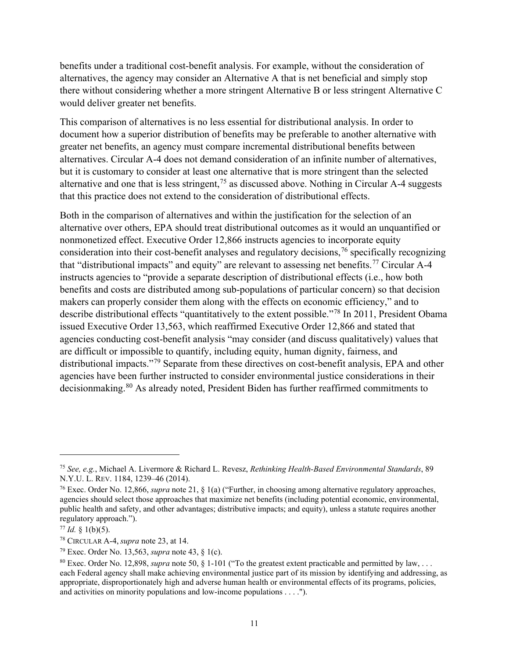benefits under a traditional cost-benefit analysis. For example, without the consideration of alternatives, the agency may consider an Alternative A that is net beneficial and simply stop there without considering whether a more stringent Alternative B or less stringent Alternative C would deliver greater net benefits.

This comparison of alternatives is no less essential for distributional analysis. In order to document how a superior distribution of benefits may be preferable to another alternative with greater net benefits, an agency must compare incremental distributional benefits between alternatives. Circular A-4 does not demand consideration of an infinite number of alternatives, but it is customary to consider at least one alternative that is more stringent than the selected alternative and one that is less stringent,<sup>[75](#page-13-0)</sup> as discussed above. Nothing in Circular A-4 suggests that this practice does not extend to the consideration of distributional effects.

Both in the comparison of alternatives and within the justification for the selection of an alternative over others, EPA should treat distributional outcomes as it would an unquantified or nonmonetized effect. Executive Order 12,866 instructs agencies to incorporate equity consideration into their cost-benefit analyses and regulatory decisions,  $\frac{7}{6}$  specifically recognizing that "distributional impacts" and equity" are relevant to assessing net benefits.<sup>[77](#page-13-2)</sup> Circular A-4 instructs agencies to "provide a separate description of distributional effects (i.e., how both benefits and costs are distributed among sub-populations of particular concern) so that decision makers can properly consider them along with the effects on economic efficiency," and to describe distributional effects "quantitatively to the extent possible."[78](#page-13-3) In 2011, President Obama issued Executive Order 13,563, which reaffirmed Executive Order 12,866 and stated that agencies conducting cost-benefit analysis "may consider (and discuss qualitatively) values that are difficult or impossible to quantify, including equity, human dignity, fairness, and distributional impacts."[79](#page-13-4) Separate from these directives on cost-benefit analysis, EPA and other agencies have been further instructed to consider environmental justice considerations in their decisionmaking.<sup>[80](#page-13-5)</sup> As already noted, President Biden has further reaffirmed commitments to

<span id="page-13-0"></span><sup>75</sup> *See, e.g.*, Michael A. Livermore & Richard L. Revesz, *Rethinking Health-Based Environmental Standards*, 89

<span id="page-13-1"></span><sup>&</sup>lt;sup>76</sup> Exec. Order No. 12,866, *supra* note [21,](#page-4-14) § 1(a) ("Further, in choosing among alternative regulatory approaches, agencies should select those approaches that maximize net benefits (including potential economic, environmental, public health and safety, and other advantages; distributive impacts; and equity), unless a statute requires another regulatory approach.").

<span id="page-13-3"></span><span id="page-13-2"></span><sup>77</sup> *Id.* § 1(b)(5). 78 CIRCULAR A-4, *supra* note [23,](#page-4-13) at 14.

<span id="page-13-4"></span><sup>79</sup> Exec. Order No. 13,563, *supra* not[e 43,](#page-7-7) § 1(c).

<span id="page-13-5"></span><sup>80</sup> Exec. Order No. 12,898, *supra* not[e 50,](#page-8-7) § 1-101 ("To the greatest extent practicable and permitted by law, . . . each Federal agency shall make achieving environmental justice part of its mission by identifying and addressing, as appropriate, disproportionately high and adverse human health or environmental effects of its programs, policies, and activities on minority populations and low-income populations . . . .").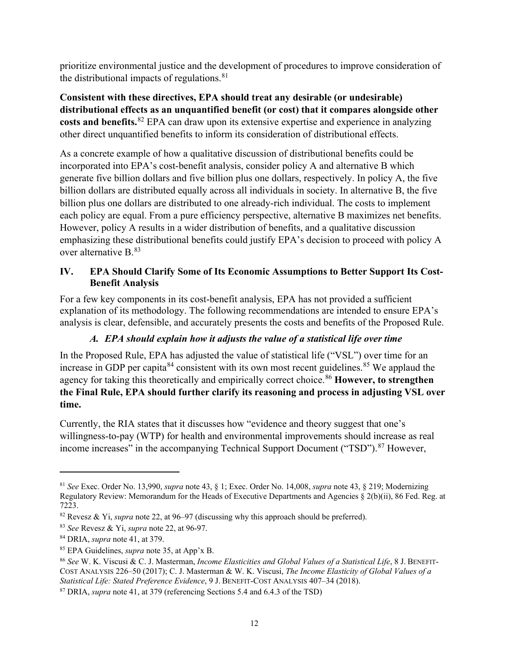prioritize environmental justice and the development of procedures to improve consideration of the distributional impacts of regulations. $81$ 

**Consistent with these directives, EPA should treat any desirable (or undesirable) distributional effects as an unquantified benefit (or cost) that it compares alongside other costs and benefits.**[82](#page-14-3) EPA can draw upon its extensive expertise and experience in analyzing other direct unquantified benefits to inform its consideration of distributional effects.

As a concrete example of how a qualitative discussion of distributional benefits could be incorporated into EPA's cost-benefit analysis, consider policy A and alternative B which generate five billion dollars and five billion plus one dollars, respectively. In policy A, the five billion dollars are distributed equally across all individuals in society. In alternative B, the five billion plus one dollars are distributed to one already-rich individual. The costs to implement each policy are equal. From a pure efficiency perspective, alternative B maximizes net benefits. However, policy A results in a wider distribution of benefits, and a qualitative discussion emphasizing these distributional benefits could justify EPA's decision to proceed with policy A over alternative B. [83](#page-14-4) 

## <span id="page-14-0"></span>**IV. EPA Should Clarify Some of Its Economic Assumptions to Better Support Its Cost-Benefit Analysis**

For a few key components in its cost-benefit analysis, EPA has not provided a sufficient explanation of its methodology. The following recommendations are intended to ensure EPA's analysis is clear, defensible, and accurately presents the costs and benefits of the Proposed Rule.

## <span id="page-14-9"></span>*A. EPA should explain how it adjusts the value of a statistical life over time*

<span id="page-14-1"></span>In the Proposed Rule, EPA has adjusted the value of statistical life ("VSL") over time for an increase in GDP per capita<sup>[84](#page-14-5)</sup> consistent with its own most recent guidelines.<sup>[85](#page-14-6)</sup> We applaud the agency for taking this theoretically and empirically correct choice. [86](#page-14-7) **However, to strengthen the Final Rule, EPA should further clarify its reasoning and process in adjusting VSL over time.**

Currently, the RIA states that it discusses how "evidence and theory suggest that one's willingness-to-pay (WTP) for health and environmental improvements should increase as real income increases" in the accompanying Technical Support Document ("TSD").<sup>87</sup> However,

<span id="page-14-2"></span><sup>81</sup> *See* Exec. Order No. 13,990, *supra* note [43,](#page-7-7) § 1; Exec. Order No. 14,008, *supra* note [43,](#page-7-7) § 219; Modernizing Regulatory Review: Memorandum for the Heads of Executive Departments and Agencies § 2(b)(ii), 86 Fed. Reg. at 7223.

<span id="page-14-3"></span><sup>82</sup> Revesz & Yi, *supra* not[e 22,](#page-4-15) at 96–97 (discussing why this approach should be preferred).

<span id="page-14-4"></span><sup>83</sup> *See* Revesz & Yi, *supra* note [22,](#page-4-15) at 96-97.

<span id="page-14-5"></span><sup>84</sup> DRIA, *supra* not[e 41,](#page-7-1) at 379.

<span id="page-14-7"></span><span id="page-14-6"></span><sup>&</sup>lt;sup>85</sup> EPA Guidelines, *supra* not[e 35,](#page-5-12) at App'x B.<br><sup>86</sup> *See* W. K. Viscusi & C. J. Masterman, *Income Elasticities and Global Values of a Statistical Life*, 8 J. BENEFIT-COST ANALYSIS 226–50 (2017); C. J. Masterman & W. K. Viscusi, *The Income Elasticity of Global Values of a Statistical Life: Stated Preference Evidence*, 9 J. BENEFIT-COST ANALYSIS 407–34 (2018).

<span id="page-14-8"></span><sup>87</sup> DRIA, *supra* not[e 41,](#page-7-1) at 379 (referencing Sections 5.4 and 6.4.3 of the TSD)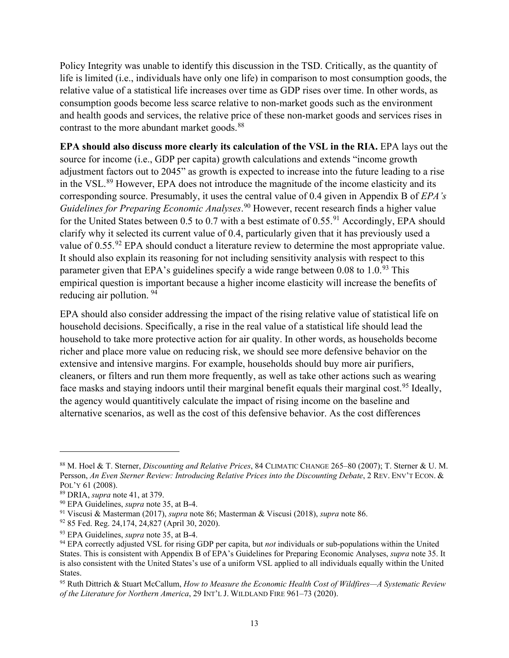Policy Integrity was unable to identify this discussion in the TSD. Critically, as the quantity of life is limited (i.e., individuals have only one life) in comparison to most consumption goods, the relative value of a statistical life increases over time as GDP rises over time. In other words, as consumption goods become less scarce relative to non-market goods such as the environment and health goods and services, the relative price of these non-market goods and services rises in contrast to the more abundant market goods.<sup>[88](#page-15-0)</sup>

**EPA should also discuss more clearly its calculation of the VSL in the RIA.** EPA lays out the source for income (i.e., GDP per capita) growth calculations and extends "income growth adjustment factors out to 2045" as growth is expected to increase into the future leading to a rise in the VSL.<sup>[89](#page-15-1)</sup> However, EPA does not introduce the magnitude of the income elasticity and its corresponding source. Presumably, it uses the central value of 0.4 given in Appendix B of *EPA's Guidelines for Preparing Economic Analyses*. [90](#page-15-2) However, recent research finds a higher value for the United States between 0.5 to 0.7 with a best estimate of  $0.55$ .<sup>91</sup> Accordingly, EPA should clarify why it selected its current value of 0.4, particularly given that it has previously used a value of  $0.55.^{92}$  $0.55.^{92}$  $0.55.^{92}$  EPA should conduct a literature review to determine the most appropriate value. It should also explain its reasoning for not including sensitivity analysis with respect to this parameter given that EPA's guidelines specify a wide range between  $0.08$  to  $1.0^{93}$  $1.0^{93}$  $1.0^{93}$  This empirical question is important because a higher income elasticity will increase the benefits of reducing air pollution. [94](#page-15-6)

<span id="page-15-8"></span>EPA should also consider addressing the impact of the rising relative value of statistical life on household decisions. Specifically, a rise in the real value of a statistical life should lead the household to take more protective action for air quality. In other words, as households become richer and place more value on reducing risk, we should see more defensive behavior on the extensive and intensive margins. For example, households should buy more air purifiers, cleaners, or filters and run them more frequently, as well as take other actions such as wearing face masks and staying indoors until their marginal benefit equals their marginal cost.<sup>[95](#page-15-7)</sup> Ideally, the agency would quantitively calculate the impact of rising income on the baseline and alternative scenarios, as well as the cost of this defensive behavior. As the cost differences

<span id="page-15-0"></span><sup>88</sup> M. Hoel & T. Sterner, *Discounting and Relative Prices*, 84 CLIMATIC CHANGE 265–80 (2007); T. Sterner & U. M. Persson, *An Even Sterner Review: Introducing Relative Prices into the Discounting Debate*, 2 REV. ENV'T ECON. & POL'Y 61 (2008).<br><sup>89</sup> DRIA, *supra* not[e 41,](#page-7-1) at 379.<br><sup>90</sup> EPA Guidelines, *supra* note [35,](#page-5-12) at B-4.

<span id="page-15-1"></span>

<span id="page-15-4"></span><span id="page-15-3"></span><span id="page-15-2"></span><sup>91</sup> Viscusi & Masterman (2017), *supra* note [86;](#page-14-9) Masterman & Viscusi (2018), *supra* note [86.](#page-14-9) 92 85 Fed. Reg. 24,174, 24,827 (April 30, 2020).

<span id="page-15-5"></span><sup>93</sup> EPA Guidelines, *supra* note [35,](#page-5-12) at B-4.

<span id="page-15-6"></span><sup>94</sup> EPA correctly adjusted VSL for rising GDP per capita, but *not* individuals or sub-populations within the United States. This is consistent with Appendix B of EPA's Guidelines for Preparing Economic Analyses, *supra* not[e 35.](#page-5-12) It is also consistent with the United States's use of a uniform VSL applied to all individuals equally within the United States.

<span id="page-15-7"></span><sup>95</sup> Ruth Dittrich & Stuart McCallum, *How to Measure the Economic Health Cost of Wildfires—A Systematic Review of the Literature for Northern America*, 29 INT'L J. WILDLAND FIRE 961–73 (2020).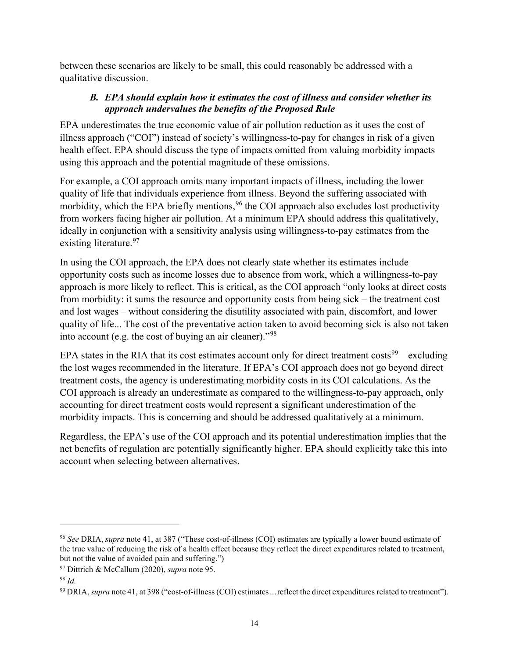between these scenarios are likely to be small, this could reasonably be addressed with a qualitative discussion.

## *B. EPA should explain how it estimates the cost of illness and consider whether its approach undervalues the benefits of the Proposed Rule*

<span id="page-16-0"></span>EPA underestimates the true economic value of air pollution reduction as it uses the cost of illness approach ("COI") instead of society's willingness-to-pay for changes in risk of a given health effect. EPA should discuss the type of impacts omitted from valuing morbidity impacts using this approach and the potential magnitude of these omissions.

For example, a COI approach omits many important impacts of illness, including the lower quality of life that individuals experience from illness. Beyond the suffering associated with morbidity, which the EPA briefly mentions,  $96$  the COI approach also excludes lost productivity from workers facing higher air pollution. At a minimum EPA should address this qualitatively, ideally in conjunction with a sensitivity analysis using willingness-to-pay estimates from the existing literature.<sup>97</sup>

In using the COI approach, the EPA does not clearly state whether its estimates include opportunity costs such as income losses due to absence from work, which a willingness-to-pay approach is more likely to reflect. This is critical, as the COI approach "only looks at direct costs from morbidity: it sums the resource and opportunity costs from being sick – the treatment cost and lost wages – without considering the disutility associated with pain, discomfort, and lower quality of life... The cost of the preventative action taken to avoid becoming sick is also not taken into account (e.g. the cost of buying an air cleaner)."[98](#page-16-3)

EPA states in the RIA that its cost estimates account only for direct treatment costs<sup>[99](#page-16-4)</sup>—excluding the lost wages recommended in the literature. If EPA's COI approach does not go beyond direct treatment costs, the agency is underestimating morbidity costs in its COI calculations. As the COI approach is already an underestimate as compared to the willingness-to-pay approach, only accounting for direct treatment costs would represent a significant underestimation of the morbidity impacts. This is concerning and should be addressed qualitatively at a minimum.

Regardless, the EPA's use of the COI approach and its potential underestimation implies that the net benefits of regulation are potentially significantly higher. EPA should explicitly take this into account when selecting between alternatives.

<span id="page-16-1"></span><sup>96</sup> *See* DRIA, *supra* note [41,](#page-7-1) at 387 ("These cost-of-illness (COI) estimates are typically a lower bound estimate of the true value of reducing the risk of a health effect because they reflect the direct expenditures related to treatment, but not the value of avoided pain and suffering.")

<span id="page-16-2"></span><sup>97</sup> Dittrich & McCallum (2020), *supra* note [95.](#page-15-8)

<span id="page-16-3"></span><sup>98</sup> *Id.*

<span id="page-16-4"></span><sup>99</sup> DRIA, *supra* not[e 41,](#page-7-1) at 398 ("cost-of-illness (COI) estimates…reflect the direct expenditures related to treatment").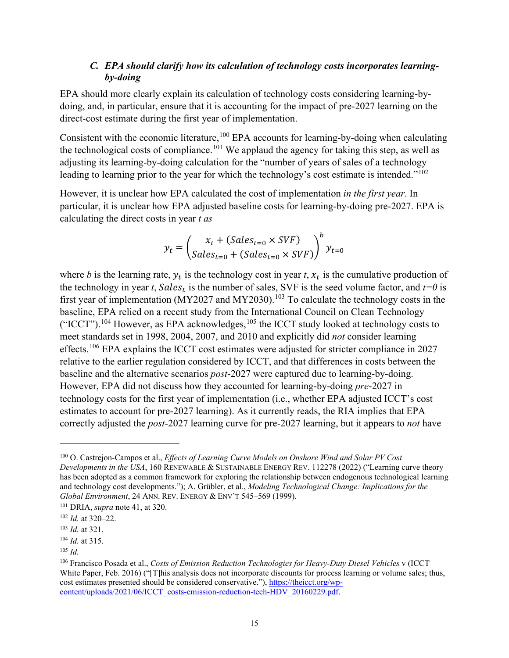### *C. EPA should clarify how its calculation of technology costs incorporates learningby-doing*

<span id="page-17-0"></span>EPA should more clearly explain its calculation of technology costs considering learning-bydoing, and, in particular, ensure that it is accounting for the impact of pre-2027 learning on the direct-cost estimate during the first year of implementation.

Consistent with the economic literature,  $100$  EPA accounts for learning-by-doing when calculating the technological costs of compliance.<sup>[101](#page-17-2)</sup> We applaud the agency for taking this step, as well as adjusting its learning-by-doing calculation for the "number of years of sales of a technology leading to learning prior to the year for which the technology's cost estimate is intended."<sup>[102](#page-17-3)</sup>

However, it is unclear how EPA calculated the cost of implementation *in the first year*. In particular, it is unclear how EPA adjusted baseline costs for learning-by-doing pre-2027. EPA is calculating the direct costs in year *t as*

$$
y_t = \left(\frac{x_t + (Sales_{t=0} \times SVF)}{Sales_{t=0} + (Sales_{t=0} \times SVF)}\right)^b y_{t=0}
$$

where *b* is the learning rate,  $y_t$  is the technology cost in year *t*,  $x_t$  is the cumulative production of the technology in year *t*, Sales<sub>t</sub> is the number of sales, SVF is the seed volume factor, and  $t=0$  is first year of implementation (MY2027 and MY2030).<sup>103</sup> To calculate the technology costs in the baseline, EPA relied on a recent study from the International Council on Clean Technology ("ICCT").<sup>104</sup> However, as EPA acknowledges,  $^{105}$  the ICCT study looked at technology costs to meet standards set in 1998, 2004, 2007, and 2010 and explicitly did *not* consider learning effects.<sup>[106](#page-17-7)</sup> EPA explains the ICCT cost estimates were adjusted for stricter compliance in 2027 relative to the earlier regulation considered by ICCT, and that differences in costs between the baseline and the alternative scenarios *post*-2027 were captured due to learning-by-doing. However, EPA did not discuss how they accounted for learning-by-doing *pre*-2027 in technology costs for the first year of implementation (i.e., whether EPA adjusted ICCT's cost estimates to account for pre-2027 learning). As it currently reads, the RIA implies that EPA correctly adjusted the *post*-2027 learning curve for pre-2027 learning, but it appears to *not* have

<span id="page-17-1"></span><sup>100</sup> O. Castrejon-Campos et al., *Effects of Learning Curve Models on Onshore Wind and Solar PV Cost Developments in the USA*, 160 RENEWABLE & SUSTAINABLE ENERGY REV. 112278 (2022) ("Learning curve theory has been adopted as a common framework for exploring the relationship between endogenous technological learning and technology cost developments."); A. Grübler, et al., *Modeling Technological Change: Implications for the Global Environment*, 24 ANN. REV. ENERGY & ENV'T 545–569 (1999). 101 DRIA, *supra* not[e 41,](#page-7-1) at 320.

<span id="page-17-2"></span>

<span id="page-17-3"></span><sup>102</sup> *Id.* at 320–22.

<span id="page-17-4"></span><sup>103</sup> *Id.* at 321.

<span id="page-17-5"></span><sup>104</sup> *Id.* at 315.

<span id="page-17-6"></span><sup>105</sup> *Id.*

<span id="page-17-7"></span><sup>106</sup> Francisco Posada et al., *Costs of Emission Reduction Technologies for Heavy-Duty Diesel Vehicles* v (ICCT White Paper, Feb. 2016) ("I This analysis does not incorporate discounts for process learning or volume sales; thus, cost estimates presented should be considered conservative."), [https://theicct.org/wp](https://theicct.org/wp-content/uploads/2021/06/ICCT_costs-emission-reduction-tech-HDV_20160229.pdf)[content/uploads/2021/06/ICCT\\_costs-emission-reduction-tech-HDV\\_20160229.pdf.](https://theicct.org/wp-content/uploads/2021/06/ICCT_costs-emission-reduction-tech-HDV_20160229.pdf)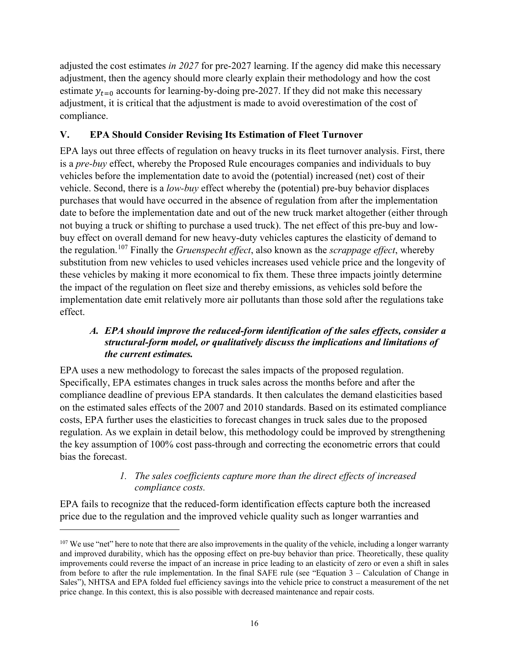adjusted the cost estimates *in 2027* for pre-2027 learning. If the agency did make this necessary adjustment, then the agency should more clearly explain their methodology and how the cost estimate  $y_{t=0}$  accounts for learning-by-doing pre-2027. If they did not make this necessary adjustment, it is critical that the adjustment is made to avoid overestimation of the cost of compliance.

## <span id="page-18-0"></span>**V. EPA Should Consider Revising Its Estimation of Fleet Turnover**

EPA lays out three effects of regulation on heavy trucks in its fleet turnover analysis. First, there is a *pre-buy* effect, whereby the Proposed Rule encourages companies and individuals to buy vehicles before the implementation date to avoid the (potential) increased (net) cost of their vehicle. Second, there is a *low-buy* effect whereby the (potential) pre-buy behavior displaces purchases that would have occurred in the absence of regulation from after the implementation date to before the implementation date and out of the new truck market altogether (either through not buying a truck or shifting to purchase a used truck). The net effect of this pre-buy and lowbuy effect on overall demand for new heavy-duty vehicles captures the elasticity of demand to the regulation.[107](#page-18-3) Finally the *Gruenspecht effect*, also known as the *scrappage effect*, whereby substitution from new vehicles to used vehicles increases used vehicle price and the longevity of these vehicles by making it more economical to fix them. These three impacts jointly determine the impact of the regulation on fleet size and thereby emissions, as vehicles sold before the implementation date emit relatively more air pollutants than those sold after the regulations take effect.

## <span id="page-18-1"></span>*A. EPA should improve the reduced-form identification of the sales effects, consider a structural-form model, or qualitatively discuss the implications and limitations of the current estimates.*

EPA uses a new methodology to forecast the sales impacts of the proposed regulation. Specifically, EPA estimates changes in truck sales across the months before and after the compliance deadline of previous EPA standards. It then calculates the demand elasticities based on the estimated sales effects of the 2007 and 2010 standards. Based on its estimated compliance costs, EPA further uses the elasticities to forecast changes in truck sales due to the proposed regulation. As we explain in detail below, this methodology could be improved by strengthening the key assumption of 100% cost pass-through and correcting the econometric errors that could bias the forecast.

## *1. The sales coefficients capture more than the direct effects of increased compliance costs.*

<span id="page-18-2"></span>EPA fails to recognize that the reduced-form identification effects capture both the increased price due to the regulation and the improved vehicle quality such as longer warranties and

<span id="page-18-3"></span> $107$  We use "net" here to note that there are also improvements in the quality of the vehicle, including a longer warranty and improved durability, which has the opposing effect on pre-buy behavior than price. Theoretically, these quality improvements could reverse the impact of an increase in price leading to an elasticity of zero or even a shift in sales from before to after the rule implementation. In the final SAFE rule (see "Equation 3 – Calculation of Change in Sales"), NHTSA and EPA folded fuel efficiency savings into the vehicle price to construct a measurement of the net price change. In this context, this is also possible with decreased maintenance and repair costs.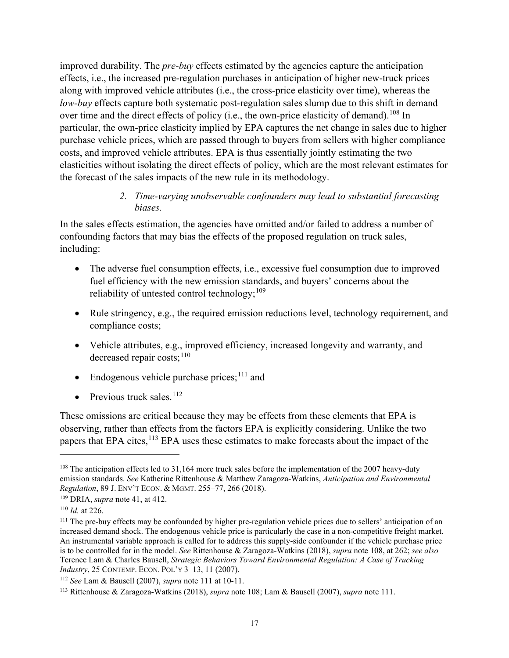improved durability. The *pre-buy* effects estimated by the agencies capture the anticipation effects, i.e., the increased pre-regulation purchases in anticipation of higher new-truck prices along with improved vehicle attributes (i.e., the cross-price elasticity over time), whereas the *low-buy* effects capture both systematic post-regulation sales slump due to this shift in demand over time and the direct effects of policy (i.e., the own-price elasticity of demand).<sup>108</sup> In particular, the own-price elasticity implied by EPA captures the net change in sales due to higher purchase vehicle prices, which are passed through to buyers from sellers with higher compliance costs, and improved vehicle attributes. EPA is thus essentially jointly estimating the two elasticities without isolating the direct effects of policy, which are the most relevant estimates for the forecast of the sales impacts of the new rule in its methodology.

## <span id="page-19-1"></span>*2. Time-varying unobservable confounders may lead to substantial forecasting biases.*

<span id="page-19-0"></span>In the sales effects estimation, the agencies have omitted and/or failed to address a number of confounding factors that may bias the effects of the proposed regulation on truck sales, including:

- The adverse fuel consumption effects, *i.e.*, excessive fuel consumption due to improved fuel efficiency with the new emission standards, and buyers' concerns about the reliability of untested control technology;  $109$
- Rule stringency, e.g., the required emission reductions level, technology requirement, and compliance costs;
- Vehicle attributes, e.g., improved efficiency, increased longevity and warranty, and decreased repair costs: $110$
- <span id="page-19-2"></span>• Endogenous vehicle purchase prices; $^{111}$  $^{111}$  $^{111}$  and
- Previous truck sales. $112$

These omissions are critical because they may be effects from these elements that EPA is observing, rather than effects from the factors EPA is explicitly considering. Unlike the two papers that EPA cites, <sup>[113](#page-19-8)</sup> EPA uses these estimates to make forecasts about the impact of the

<span id="page-19-3"></span><sup>&</sup>lt;sup>108</sup> The anticipation effects led to 31,164 more truck sales before the implementation of the 2007 heavy-duty emission standards. *See* Katherine Rittenhouse & Matthew Zaragoza-Watkins, *Anticipation and Environmental Regulation*, 89 J. ENV'T ECON. & MGMT. 255–77, 266 (2018).

<span id="page-19-4"></span><sup>109</sup> DRIA, *supra* not[e 41,](#page-7-1) at 412.

<span id="page-19-6"></span><span id="page-19-5"></span><sup>&</sup>lt;sup>110</sup> *Id.* at 226.<br><sup>111</sup> The pre-buy effects may be confounded by higher pre-regulation vehicle prices due to sellers' anticipation of an increased demand shock. The endogenous vehicle price is particularly the case in a non-competitive freight market. An instrumental variable approach is called for to address this supply-side confounder if the vehicle purchase price is to be controlled for in the model. *See* Rittenhouse & Zaragoza-Watkins (2018), *supra* not[e 108,](#page-19-1) at 262; *see also* Terence Lam & Charles Bausell, *Strategic Behaviors Toward Environmental Regulation: A Case of Trucking Industry*, 25 CONTEMP. ECON. POL'Y 3–13, 11 (2007).

<span id="page-19-8"></span><span id="page-19-7"></span><sup>112</sup> *See* Lam & Bausell (2007), *supra* note 111 at 10-11. 113 Rittenhouse & Zaragoza-Watkins (2018), *supra* note [108;](#page-19-1) Lam & Bausell (2007), *supra* note [111.](#page-19-2)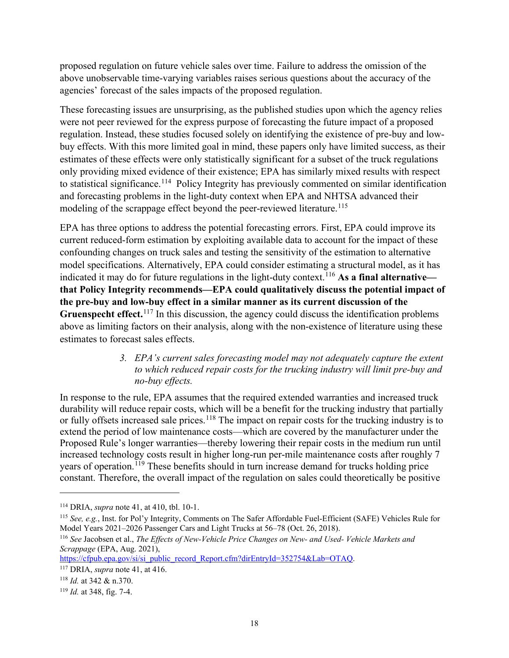proposed regulation on future vehicle sales over time. Failure to address the omission of the above unobservable time-varying variables raises serious questions about the accuracy of the agencies' forecast of the sales impacts of the proposed regulation.

These forecasting issues are unsurprising, as the published studies upon which the agency relies were not peer reviewed for the express purpose of forecasting the future impact of a proposed regulation. Instead, these studies focused solely on identifying the existence of pre-buy and lowbuy effects. With this more limited goal in mind, these papers only have limited success, as their estimates of these effects were only statistically significant for a subset of the truck regulations only providing mixed evidence of their existence; EPA has similarly mixed results with respect to statistical significance.<sup>[114](#page-20-1)</sup> Policy Integrity has previously commented on similar identification and forecasting problems in the light-duty context when EPA and NHTSA advanced their modeling of the scrappage effect beyond the peer-reviewed literature. [115](#page-20-2)

EPA has three options to address the potential forecasting errors. First, EPA could improve its current reduced-form estimation by exploiting available data to account for the impact of these confounding changes on truck sales and testing the sensitivity of the estimation to alternative model specifications. Alternatively, EPA could consider estimating a structural model, as it has indicated it may do for future regulations in the light-duty context.[116](#page-20-3) **As a final alternative that Policy Integrity recommends—EPA could qualitatively discuss the potential impact of the pre-buy and low-buy effect in a similar manner as its current discussion of the Gruenspecht effect.**[117](#page-20-4) In this discussion, the agency could discuss the identification problems above as limiting factors on their analysis, along with the non-existence of literature using these estimates to forecast sales effects.

> <span id="page-20-8"></span><span id="page-20-7"></span>*3. EPA's current sales forecasting model may not adequately capture the extent to which reduced repair costs for the trucking industry will limit pre-buy and no-buy effects.*

<span id="page-20-0"></span>In response to the rule, EPA assumes that the required extended warranties and increased truck durability will reduce repair costs, which will be a benefit for the trucking industry that partially or fully offsets increased sale prices.<sup>[118](#page-20-5)</sup> The impact on repair costs for the trucking industry is to extend the period of low maintenance costs—which are covered by the manufacturer under the Proposed Rule's longer warranties—thereby lowering their repair costs in the medium run until increased technology costs result in higher long-run per-mile maintenance costs after roughly 7 years of operation.<sup>[119](#page-20-6)</sup> These benefits should in turn increase demand for trucks holding price constant. Therefore, the overall impact of the regulation on sales could theoretically be positive

[https://cfpub.epa.gov/si/si\\_public\\_record\\_Report.cfm?dirEntryId=352754&Lab=OTAQ.](https://cfpub.epa.gov/si/si_public_record_Report.cfm?dirEntryId=352754&Lab=OTAQ) 117 DRIA, *supra* not[e 41,](#page-7-1) at 416.

<span id="page-20-1"></span><sup>114</sup> DRIA, *supra* not[e 41,](#page-7-1) at 410, tbl. 10-1.

<span id="page-20-2"></span><sup>115</sup> *See, e.g.*, Inst. for Pol'y Integrity, Comments on The Safer Affordable Fuel-Efficient (SAFE) Vehicles Rule for Model Years 2021–2026 Passenger Cars and Light Trucks at 56–78 (Oct. 26, 2018).

<span id="page-20-3"></span><sup>116</sup> *See* Jacobsen et al., *The Effects of New-Vehicle Price Changes on New- and Used- Vehicle Markets and Scrappage* (EPA, Aug. 2021),

<span id="page-20-4"></span>

<span id="page-20-5"></span><sup>118</sup> *Id.* at 342 & n.370.

<span id="page-20-6"></span><sup>119</sup> *Id.* at 348, fig. 7-4.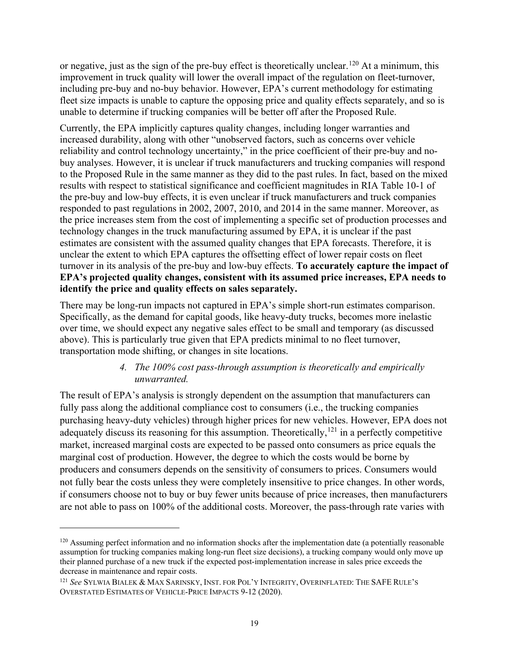or negative, just as the sign of the pre-buy effect is theoretically unclear.[120](#page-21-1) At a minimum, this improvement in truck quality will lower the overall impact of the regulation on fleet-turnover, including pre-buy and no-buy behavior. However, EPA's current methodology for estimating fleet size impacts is unable to capture the opposing price and quality effects separately, and so is unable to determine if trucking companies will be better off after the Proposed Rule.

Currently, the EPA implicitly captures quality changes, including longer warranties and increased durability, along with other "unobserved factors, such as concerns over vehicle reliability and control technology uncertainty," in the price coefficient of their pre-buy and nobuy analyses. However, it is unclear if truck manufacturers and trucking companies will respond to the Proposed Rule in the same manner as they did to the past rules. In fact, based on the mixed results with respect to statistical significance and coefficient magnitudes in RIA Table 10-1 of the pre-buy and low-buy effects, it is even unclear if truck manufacturers and truck companies responded to past regulations in 2002, 2007, 2010, and 2014 in the same manner. Moreover, as the price increases stem from the cost of implementing a specific set of production processes and technology changes in the truck manufacturing assumed by EPA, it is unclear if the past estimates are consistent with the assumed quality changes that EPA forecasts. Therefore, it is unclear the extent to which EPA captures the offsetting effect of lower repair costs on fleet turnover in its analysis of the pre-buy and low-buy effects. **To accurately capture the impact of EPA's projected quality changes, consistent with its assumed price increases, EPA needs to identify the price and quality effects on sales separately.**

There may be long-run impacts not captured in EPA's simple short-run estimates comparison. Specifically, as the demand for capital goods, like heavy-duty trucks, becomes more inelastic over time, we should expect any negative sales effect to be small and temporary (as discussed above). This is particularly true given that EPA predicts minimal to no fleet turnover, transportation mode shifting, or changes in site locations.

#### *4. The 100% cost pass-through assumption is theoretically and empirically unwarranted.*

<span id="page-21-0"></span>The result of EPA's analysis is strongly dependent on the assumption that manufacturers can fully pass along the additional compliance cost to consumers (i.e., the trucking companies purchasing heavy-duty vehicles) through higher prices for new vehicles. However, EPA does not adequately discuss its reasoning for this assumption. Theoretically,  $^{121}$  $^{121}$  $^{121}$  in a perfectly competitive market, increased marginal costs are expected to be passed onto consumers as price equals the marginal cost of production. However, the degree to which the costs would be borne by producers and consumers depends on the sensitivity of consumers to prices. Consumers would not fully bear the costs unless they were completely insensitive to price changes. In other words, if consumers choose not to buy or buy fewer units because of price increases, then manufacturers are not able to pass on 100% of the additional costs. Moreover, the pass-through rate varies with

<span id="page-21-1"></span> $120$  Assuming perfect information and no information shocks after the implementation date (a potentially reasonable assumption for trucking companies making long-run fleet size decisions), a trucking company would only move up their planned purchase of a new truck if the expected post-implementation increase in sales price exceeds the decrease in maintenance and repair costs.

<span id="page-21-2"></span><sup>121</sup> *See* SYLWIA BIALEK & MAX SARINSKY, INST. FOR POL'Y INTEGRITY, OVERINFLATED: THE SAFE RULE'S OVERSTATED ESTIMATES OF VEHICLE-PRICE IMPACTS 9-12 (2020).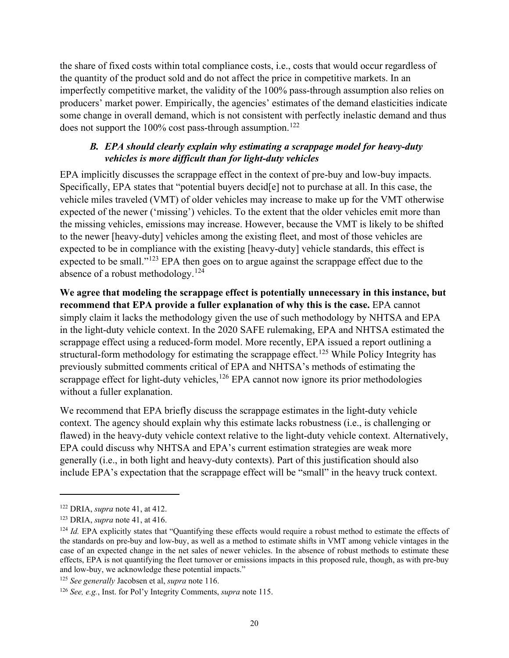the share of fixed costs within total compliance costs, i.e., costs that would occur regardless of the quantity of the product sold and do not affect the price in competitive markets. In an imperfectly competitive market, the validity of the 100% pass-through assumption also relies on producers' market power. Empirically, the agencies' estimates of the demand elasticities indicate some change in overall demand, which is not consistent with perfectly inelastic demand and thus does not support the  $100\%$  cost pass-through assumption.<sup>122</sup>

## *B. EPA should clearly explain why estimating a scrappage model for heavy-duty vehicles is more difficult than for light-duty vehicles*

<span id="page-22-0"></span>EPA implicitly discusses the scrappage effect in the context of pre-buy and low-buy impacts. Specifically, EPA states that "potential buyers decid[e] not to purchase at all. In this case, the vehicle miles traveled (VMT) of older vehicles may increase to make up for the VMT otherwise expected of the newer ('missing') vehicles. To the extent that the older vehicles emit more than the missing vehicles, emissions may increase. However, because the VMT is likely to be shifted to the newer [heavy-duty] vehicles among the existing fleet, and most of those vehicles are expected to be in compliance with the existing [heavy-duty] vehicle standards, this effect is expected to be small."<sup>[123](#page-22-2)</sup> EPA then goes on to argue against the scrappage effect due to the absence of a robust methodology.<sup>[124](#page-22-3)</sup>

**We agree that modeling the scrappage effect is potentially unnecessary in this instance, but recommend that EPA provide a fuller explanation of why this is the case.** EPA cannot simply claim it lacks the methodology given the use of such methodology by NHTSA and EPA in the light-duty vehicle context. In the 2020 SAFE rulemaking, EPA and NHTSA estimated the scrappage effect using a reduced-form model. More recently, EPA issued a report outlining a structural-form methodology for estimating the scrappage effect.<sup>[125](#page-22-4)</sup> While Policy Integrity has previously submitted comments critical of EPA and NHTSA's methods of estimating the scrappage effect for light-duty vehicles, $126$  EPA cannot now ignore its prior methodologies without a fuller explanation.

We recommend that EPA briefly discuss the scrappage estimates in the light-duty vehicle context. The agency should explain why this estimate lacks robustness (i.e., is challenging or flawed) in the heavy-duty vehicle context relative to the light-duty vehicle context. Alternatively, EPA could discuss why NHTSA and EPA's current estimation strategies are weak more generally (i.e., in both light and heavy-duty contexts). Part of this justification should also include EPA's expectation that the scrappage effect will be "small" in the heavy truck context.

<span id="page-22-1"></span><sup>122</sup> DRIA, *supra* not[e 41,](#page-7-1) at 412.

<span id="page-22-2"></span><sup>123</sup> DRIA, *supra* not[e 41,](#page-7-1) at 416.

<span id="page-22-3"></span><sup>&</sup>lt;sup>124</sup> *Id.* EPA explicitly states that "Quantifying these effects would require a robust method to estimate the effects of the standards on pre-buy and low-buy, as well as a method to estimate shifts in VMT among vehicle vintages in the case of an expected change in the net sales of newer vehicles. In the absence of robust methods to estimate these effects, EPA is not quantifying the fleet turnover or emissions impacts in this proposed rule, though, as with pre-buy and low-buy, we acknowledge these potential impacts."

<span id="page-22-5"></span><span id="page-22-4"></span><sup>125</sup> *See generally* Jacobsen et al, *supra* note [116.](#page-20-7) 126 *See, e.g.*, Inst. for Pol'y Integrity Comments, *supra* note [115.](#page-20-8)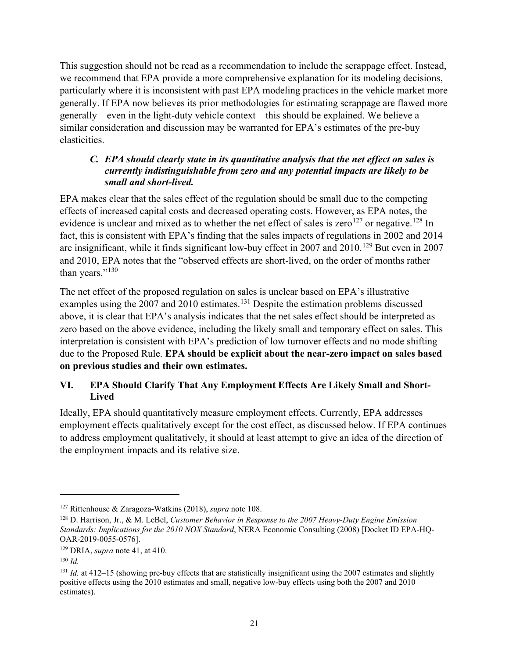This suggestion should not be read as a recommendation to include the scrappage effect. Instead, we recommend that EPA provide a more comprehensive explanation for its modeling decisions, particularly where it is inconsistent with past EPA modeling practices in the vehicle market more generally. If EPA now believes its prior methodologies for estimating scrappage are flawed more generally—even in the light-duty vehicle context—this should be explained. We believe a similar consideration and discussion may be warranted for EPA's estimates of the pre-buy elasticities.

### <span id="page-23-0"></span>*C. EPA should clearly state in its quantitative analysis that the net effect on sales is currently indistinguishable from zero and any potential impacts are likely to be small and short-lived.*

EPA makes clear that the sales effect of the regulation should be small due to the competing effects of increased capital costs and decreased operating costs. However, as EPA notes, the evidence is unclear and mixed as to whether the net effect of sales is zero<sup>[127](#page-23-2)</sup> or negative.<sup>128</sup> In fact, this is consistent with EPA's finding that the sales impacts of regulations in 2002 and 2014 are insignificant, while it finds significant low-buy effect in 2007 and 2010.[129](#page-23-4) But even in 2007 and 2010, EPA notes that the "observed effects are short-lived, on the order of months rather than years."<sup>130</sup>

The net effect of the proposed regulation on sales is unclear based on EPA's illustrative examples using the 2007 and 2010 estimates.<sup>[131](#page-23-6)</sup> Despite the estimation problems discussed above, it is clear that EPA's analysis indicates that the net sales effect should be interpreted as zero based on the above evidence, including the likely small and temporary effect on sales. This interpretation is consistent with EPA's prediction of low turnover effects and no mode shifting due to the Proposed Rule. **EPA should be explicit about the near-zero impact on sales based on previous studies and their own estimates.**

## <span id="page-23-1"></span>**VI. EPA Should Clarify That Any Employment Effects Are Likely Small and Short-Lived**

Ideally, EPA should quantitatively measure employment effects. Currently, EPA addresses employment effects qualitatively except for the cost effect, as discussed below. If EPA continues to address employment qualitatively, it should at least attempt to give an idea of the direction of the employment impacts and its relative size.

<span id="page-23-3"></span><span id="page-23-2"></span><sup>&</sup>lt;sup>127</sup> Rittenhouse & Zaragoza-Watkins (2018), *supra* note [108.](#page-19-1)<br><sup>128</sup> D. Harrison, Jr., & M. LeBel, *Customer Behavior in Response to the 2007 Heavy-Duty Engine Emission Standards: Implications for the 2010 NOX Standard*, NERA Economic Consulting (2008) [Docket ID EPA-HQ-OAR-2019-0055-0576].

<span id="page-23-4"></span><sup>129</sup> DRIA, *supra* not[e 41,](#page-7-1) at 410.

<span id="page-23-5"></span><sup>130</sup> *Id.*

<span id="page-23-6"></span> $131$  *Id.* at 412–15 (showing pre-buy effects that are statistically insignificant using the 2007 estimates and slightly positive effects using the 2010 estimates and small, negative low-buy effects using both the 2007 and 2010 estimates).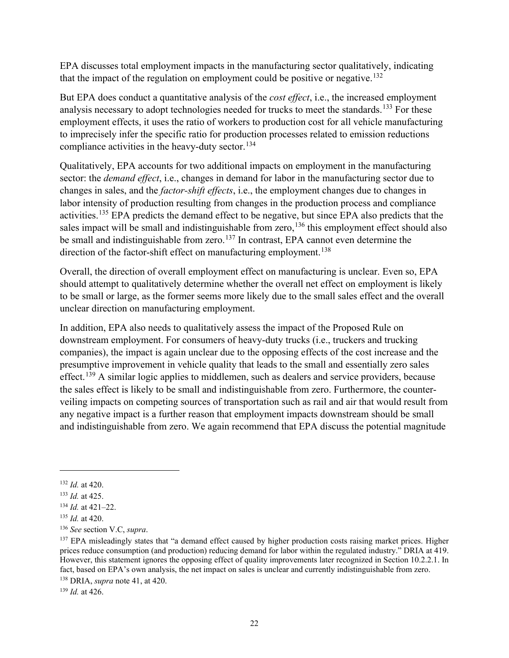EPA discusses total employment impacts in the manufacturing sector qualitatively, indicating that the impact of the regulation on employment could be positive or negative.<sup>132</sup>

But EPA does conduct a quantitative analysis of the *cost effect*, i.e., the increased employment analysis necessary to adopt technologies needed for trucks to meet the standards.<sup>[133](#page-24-1)</sup> For these employment effects, it uses the ratio of workers to production cost for all vehicle manufacturing to imprecisely infer the specific ratio for production processes related to emission reductions compliance activities in the heavy-duty sector. $134$ 

Qualitatively, EPA accounts for two additional impacts on employment in the manufacturing sector: the *demand effect*, i.e., changes in demand for labor in the manufacturing sector due to changes in sales, and the *factor-shift effects*, i.e., the employment changes due to changes in labor intensity of production resulting from changes in the production process and compliance activities.[135](#page-24-3) EPA predicts the demand effect to be negative, but since EPA also predicts that the sales impact will be small and indistinguishable from zero,  $136$  this employment effect should also be small and indistinguishable from zero.<sup>[137](#page-24-5)</sup> In contrast, EPA cannot even determine the direction of the factor-shift effect on manufacturing employment.<sup>[138](#page-24-6)</sup>

Overall, the direction of overall employment effect on manufacturing is unclear. Even so, EPA should attempt to qualitatively determine whether the overall net effect on employment is likely to be small or large, as the former seems more likely due to the small sales effect and the overall unclear direction on manufacturing employment.

In addition, EPA also needs to qualitatively assess the impact of the Proposed Rule on downstream employment. For consumers of heavy-duty trucks (i.e., truckers and trucking companies), the impact is again unclear due to the opposing effects of the cost increase and the presumptive improvement in vehicle quality that leads to the small and essentially zero sales effect.<sup>[139](#page-24-7)</sup> A similar logic applies to middlemen, such as dealers and service providers, because the sales effect is likely to be small and indistinguishable from zero. Furthermore, the counterveiling impacts on competing sources of transportation such as rail and air that would result from any negative impact is a further reason that employment impacts downstream should be small and indistinguishable from zero. We again recommend that EPA discuss the potential magnitude

<span id="page-24-0"></span><sup>132</sup> *Id.* at 420.

<span id="page-24-2"></span>

<span id="page-24-3"></span>

<span id="page-24-5"></span><span id="page-24-4"></span>

<span id="page-24-1"></span><sup>&</sup>lt;sup>133</sup> *Id.* at 425.<br><sup>134</sup> *Id.* at 421–22.<br><sup>135</sup> *Id.* at 420.<br><sup>136</sup> *See* section V.C, *supra*.<br><sup>136</sup> *See* section V.C, *supra*. prices reduce consumption (and production) reducing demand for labor within the regulated industry." DRIA at 419. However, this statement ignores the opposing effect of quality improvements later recognized in Section 10.2.2.1. In fact, based on EPA's own analysis, the net impact on sales is unclear and currently indistinguishable from zero.

<span id="page-24-6"></span><sup>138</sup> DRIA, *supra* not[e 41,](#page-7-1) at 420. 139 *Id.* at 426.

<span id="page-24-7"></span>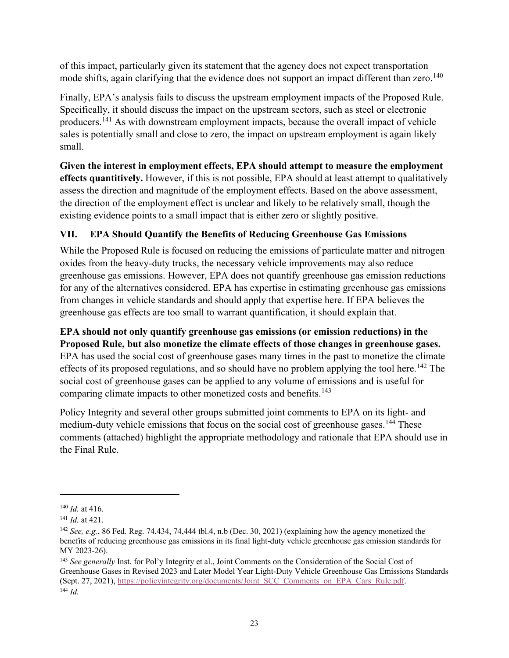of this impact, particularly given its statement that the agency does not expect transportation mode shifts, again clarifying that the evidence does not support an impact different than zero.<sup>[140](#page-25-1)</sup>

Finally, EPA's analysis fails to discuss the upstream employment impacts of the Proposed Rule. Specifically, it should discuss the impact on the upstream sectors, such as steel or electronic producers.[141](#page-25-2) As with downstream employment impacts, because the overall impact of vehicle sales is potentially small and close to zero, the impact on upstream employment is again likely small.

**Given the interest in employment effects, EPA should attempt to measure the employment effects quantitively.** However, if this is not possible, EPA should at least attempt to qualitatively assess the direction and magnitude of the employment effects. Based on the above assessment, the direction of the employment effect is unclear and likely to be relatively small, though the existing evidence points to a small impact that is either zero or slightly positive.

# <span id="page-25-0"></span>**VII. EPA Should Quantify the Benefits of Reducing Greenhouse Gas Emissions**

While the Proposed Rule is focused on reducing the emissions of particulate matter and nitrogen oxides from the heavy-duty trucks, the necessary vehicle improvements may also reduce greenhouse gas emissions. However, EPA does not quantify greenhouse gas emission reductions for any of the alternatives considered. EPA has expertise in estimating greenhouse gas emissions from changes in vehicle standards and should apply that expertise here. If EPA believes the greenhouse gas effects are too small to warrant quantification, it should explain that.

### **EPA should not only quantify greenhouse gas emissions (or emission reductions) in the Proposed Rule, but also monetize the climate effects of those changes in greenhouse gases.**

EPA has used the social cost of greenhouse gases many times in the past to monetize the climate effects of its proposed regulations, and so should have no problem applying the tool here.<sup>[142](#page-25-3)</sup> The social cost of greenhouse gases can be applied to any volume of emissions and is useful for comparing climate impacts to other monetized costs and benefits.<sup>[143](#page-25-4)</sup>

Policy Integrity and several other groups submitted joint comments to EPA on its light- and medium-duty vehicle emissions that focus on the social cost of greenhouse gases.<sup>[144](#page-25-5)</sup> These comments (attached) highlight the appropriate methodology and rationale that EPA should use in the Final Rule.

<span id="page-25-1"></span><sup>140</sup> *Id.* at 416.

<span id="page-25-2"></span><sup>141</sup> *Id.* at 421.

<span id="page-25-3"></span><sup>142</sup> *See, e.g.*, 86 Fed. Reg. 74,434, 74,444 tbl.4, n.b (Dec. 30, 2021) (explaining how the agency monetized the benefits of reducing greenhouse gas emissions in its final light-duty vehicle greenhouse gas emission standards for MY 2023-26).

<span id="page-25-5"></span><span id="page-25-4"></span><sup>&</sup>lt;sup>143</sup> *See generally* Inst. for Pol'y Integrity et al., Joint Comments on the Consideration of the Social Cost of Greenhouse Gases in Revised 2023 and Later Model Year Light-Duty Vehicle Greenhouse Gas Emissions Standards (Sept. 27, 2021), [https://policyintegrity.org/documents/Joint\\_SCC\\_Comments\\_on\\_EPA\\_Cars\\_Rule.pdf.](https://policyintegrity.org/documents/Joint_SCC_Comments_on_EPA_Cars_Rule.pdf) 144 *Id.*